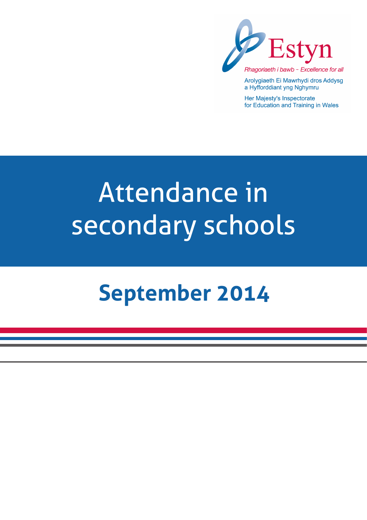

Arolygiaeth Ei Mawrhydi dros Addysg a Hyfforddiant yng Nghymru

Her Majesty's Inspectorate for Education and Training in Wales

# Attendance in secondary schools

## **September 2014**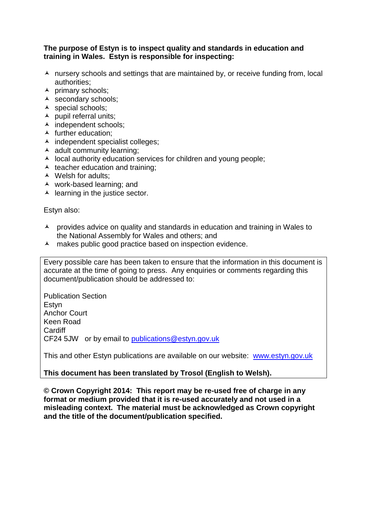#### **The purpose of Estyn is to inspect quality and standards in education and training in Wales. Estyn is responsible for inspecting:**

- $\lambda$  nursery schools and settings that are maintained by, or receive funding from, local authorities;
- $\lambda$  primary schools;
- $\triangle$  secondary schools;
- A special schools;
- $\blacktriangle$  pupil referral units;
- ▲ independent schools;
- $\blacktriangle$  further education:
- $\lambda$  independent specialist colleges;
- $\triangle$  adult community learning;
- $\lambda$  local authority education services for children and young people;
- $\triangle$  teacher education and training;
- ▲ Welsh for adults;
- work-based learning; and
- $\blacktriangle$  learning in the justice sector.

Estyn also:

- A provides advice on quality and standards in education and training in Wales to the National Assembly for Wales and others; and
- A makes public good practice based on inspection evidence.

Every possible care has been taken to ensure that the information in this document is accurate at the time of going to press. Any enquiries or comments regarding this document/publication should be addressed to:

Publication Section Estyn Anchor Court Keen Road **Cardiff** CF24 5JW or by email to [publications@estyn.gov.uk](mailto:publications@estyn.gov.uk)

This and other Estyn publications are available on our website: [www.estyn.gov.uk](http://www.estyn.gov.uk/)

#### **This document has been translated by Trosol (English to Welsh).**

**© Crown Copyright 2014: This report may be re-used free of charge in any format or medium provided that it is re-used accurately and not used in a misleading context. The material must be acknowledged as Crown copyright and the title of the document/publication specified.**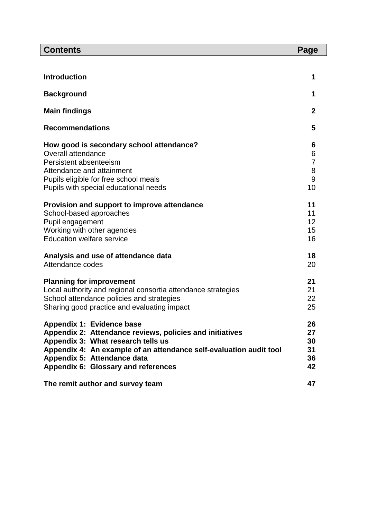| <b>Contents</b>                                                                                                                                                                                                                                                         | Page                                     |
|-------------------------------------------------------------------------------------------------------------------------------------------------------------------------------------------------------------------------------------------------------------------------|------------------------------------------|
|                                                                                                                                                                                                                                                                         |                                          |
| <b>Introduction</b>                                                                                                                                                                                                                                                     | 1                                        |
| <b>Background</b>                                                                                                                                                                                                                                                       | 1                                        |
| <b>Main findings</b>                                                                                                                                                                                                                                                    | $\mathbf{2}$                             |
| <b>Recommendations</b>                                                                                                                                                                                                                                                  | 5                                        |
| How good is secondary school attendance?<br>Overall attendance<br>Persistent absenteeism<br>Attendance and attainment<br>Pupils eligible for free school meals<br>Pupils with special educational needs                                                                 | 6<br>6<br>$\overline{7}$<br>8<br>9<br>10 |
| Provision and support to improve attendance<br>School-based approaches<br>Pupil engagement<br>Working with other agencies<br><b>Education welfare service</b>                                                                                                           | 11<br>11<br>12<br>15<br>16               |
| Analysis and use of attendance data<br>Attendance codes                                                                                                                                                                                                                 | 18<br>20                                 |
| <b>Planning for improvement</b><br>Local authority and regional consortia attendance strategies<br>School attendance policies and strategies<br>Sharing good practice and evaluating impact                                                                             | 21<br>21<br>22<br>25                     |
| Appendix 1: Evidence base<br>Appendix 2: Attendance reviews, policies and initiatives<br>Appendix 3: What research tells us<br>Appendix 4: An example of an attendance self-evaluation audit tool<br>Appendix 5: Attendance data<br>Appendix 6: Glossary and references | 26<br>27<br>30<br>31<br>36<br>42         |
| The remit author and survey team                                                                                                                                                                                                                                        | 47                                       |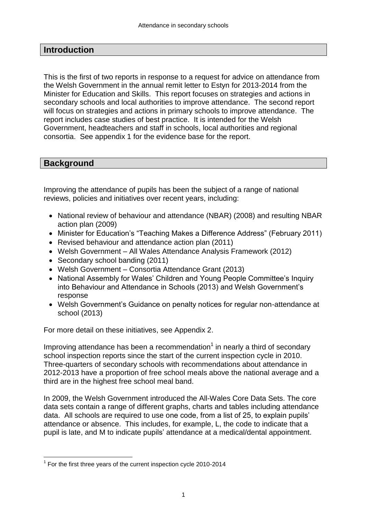#### **Introduction**

This is the first of two reports in response to a request for advice on attendance from the Welsh Government in the annual remit letter to Estyn for 2013-2014 from the Minister for Education and Skills. This report focuses on strategies and actions in secondary schools and local authorities to improve attendance. The second report will focus on strategies and actions in primary schools to improve attendance. The report includes case studies of best practice. It is intended for the Welsh Government, headteachers and staff in schools, local authorities and regional consortia. See appendix 1 for the evidence base for the report.

#### **Background**

Improving the attendance of pupils has been the subject of a range of national reviews, policies and initiatives over recent years, including:

- National review of behaviour and attendance (NBAR) (2008) and resulting NBAR action plan (2009)
- Minister for Education's "Teaching Makes a Difference Address" (February 2011)
- Revised behaviour and attendance action plan (2011)
- Welsh Government All Wales Attendance Analysis Framework (2012)
- Secondary school banding (2011)
- Welsh Government Consortia Attendance Grant (2013)
- National Assembly for Wales' Children and Young People Committee's Inquiry into Behaviour and Attendance in Schools (2013) and Welsh Government's response
- Welsh Government's Guidance on penalty notices for regular non-attendance at school (2013)

For more detail on these initiatives, see Appendix 2.

Improving attendance has been a recommendation<sup>1</sup> in nearly a third of secondary school inspection reports since the start of the current inspection cycle in 2010. Three-quarters of secondary schools with recommendations about attendance in 2012-2013 have a proportion of free school meals above the national average and a third are in the highest free school meal band.

In 2009, the Welsh Government introduced the All-Wales Core Data Sets. The core data sets contain a range of different graphs, charts and tables including attendance data. All schools are required to use one code, from a list of 25, to explain pupils' attendance or absence. This includes, for example, L, the code to indicate that a pupil is late, and M to indicate pupils' attendance at a medical/dental appointment.

 $\overline{a}$  $1$  For the first three years of the current inspection cycle 2010-2014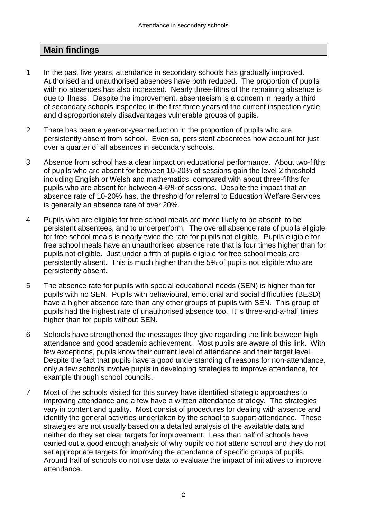## **Main findings**

- 1 In the past five years, attendance in secondary schools has gradually improved. Authorised and unauthorised absences have both reduced. The proportion of pupils with no absences has also increased. Nearly three-fifths of the remaining absence is due to illness. Despite the improvement, absenteeism is a concern in nearly a third of secondary schools inspected in the first three years of the current inspection cycle and disproportionately disadvantages vulnerable groups of pupils.
- 2 There has been a year-on-year reduction in the proportion of pupils who are persistently absent from school. Even so, persistent absentees now account for just over a quarter of all absences in secondary schools.
- 3 Absence from school has a clear impact on educational performance. About two-fifths of pupils who are absent for between 10-20% of sessions gain the level 2 threshold including English or Welsh and mathematics, compared with about three-fifths for pupils who are absent for between 4-6% of sessions. Despite the impact that an absence rate of 10-20% has, the threshold for referral to Education Welfare Services is generally an absence rate of over 20%.
- 4 Pupils who are eligible for free school meals are more likely to be absent, to be persistent absentees, and to underperform. The overall absence rate of pupils eligible for free school meals is nearly twice the rate for pupils not eligible. Pupils eligible for free school meals have an unauthorised absence rate that is four times higher than for pupils not eligible. Just under a fifth of pupils eligible for free school meals are persistently absent. This is much higher than the 5% of pupils not eligible who are persistently absent.
- 5 The absence rate for pupils with special educational needs (SEN) is higher than for pupils with no SEN. Pupils with behavioural, emotional and social difficulties (BESD) have a higher absence rate than any other groups of pupils with SEN. This group of pupils had the highest rate of unauthorised absence too. It is three-and-a-half times higher than for pupils without SEN.
- 6 Schools have strengthened the messages they give regarding the link between high attendance and good academic achievement. Most pupils are aware of this link. With few exceptions, pupils know their current level of attendance and their target level. Despite the fact that pupils have a good understanding of reasons for non-attendance, only a few schools involve pupils in developing strategies to improve attendance, for example through school councils.
- 7 Most of the schools visited for this survey have identified strategic approaches to improving attendance and a few have a written attendance strategy. The strategies vary in content and quality. Most consist of procedures for dealing with absence and identify the general activities undertaken by the school to support attendance. These strategies are not usually based on a detailed analysis of the available data and neither do they set clear targets for improvement. Less than half of schools have carried out a good enough analysis of why pupils do not attend school and they do not set appropriate targets for improving the attendance of specific groups of pupils. Around half of schools do not use data to evaluate the impact of initiatives to improve attendance.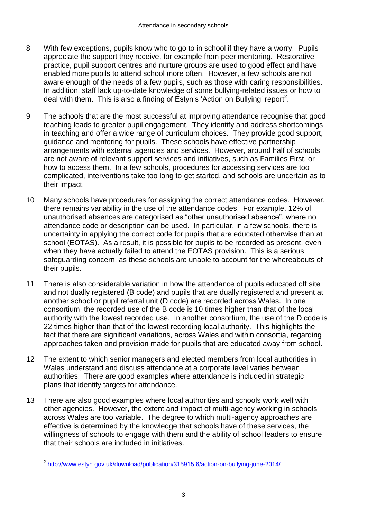- 8 With few exceptions, pupils know who to go to in school if they have a worry. Pupils appreciate the support they receive, for example from peer mentoring. Restorative practice, pupil support centres and nurture groups are used to good effect and have enabled more pupils to attend school more often. However, a few schools are not aware enough of the needs of a few pupils, such as those with caring responsibilities. In addition, staff lack up-to-date knowledge of some bullying-related issues or how to deal with them. This is also a finding of Estyn's 'Action on Bullying' report<sup>2</sup>.
- 9 The schools that are the most successful at improving attendance recognise that good teaching leads to greater pupil engagement. They identify and address shortcomings in teaching and offer a wide range of curriculum choices. They provide good support, guidance and mentoring for pupils. These schools have effective partnership arrangements with external agencies and services. However, around half of schools are not aware of relevant support services and initiatives, such as Families First, or how to access them. In a few schools, procedures for accessing services are too complicated, interventions take too long to get started, and schools are uncertain as to their impact.
- 10 Many schools have procedures for assigning the correct attendance codes. However, there remains variability in the use of the attendance codes. For example, 12% of unauthorised absences are categorised as "other unauthorised absence", where no attendance code or description can be used. In particular, in a few schools, there is uncertainty in applying the correct code for pupils that are educated otherwise than at school (EOTAS). As a result, it is possible for pupils to be recorded as present, even when they have actually failed to attend the EOTAS provision. This is a serious safeguarding concern, as these schools are unable to account for the whereabouts of their pupils.
- 11 There is also considerable variation in how the attendance of pupils educated off site and not dually registered (B code) and pupils that are dually registered and present at another school or pupil referral unit (D code) are recorded across Wales. In one consortium, the recorded use of the B code is 10 times higher than that of the local authority with the lowest recorded use. In another consortium, the use of the D code is 22 times higher than that of the lowest recording local authority. This highlights the fact that there are significant variations, across Wales and within consortia, regarding approaches taken and provision made for pupils that are educated away from school.
- 12 The extent to which senior managers and elected members from local authorities in Wales understand and discuss attendance at a corporate level varies between authorities. There are good examples where attendance is included in strategic plans that identify targets for attendance.
- 13 There are also good examples where local authorities and schools work well with other agencies. However, the extent and impact of multi-agency working in schools across Wales are too variable. The degree to which multi-agency approaches are effective is determined by the knowledge that schools have of these services, the willingness of schools to engage with them and the ability of school leaders to ensure that their schools are included in initiatives.

 2 <http://www.estyn.gov.uk/download/publication/315915.6/action-on-bullying-june-2014/>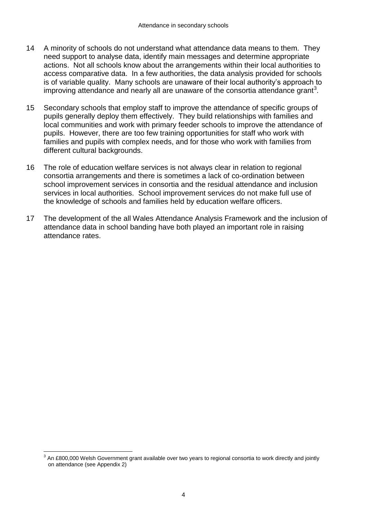- 14 A minority of schools do not understand what attendance data means to them. They need support to analyse data, identify main messages and determine appropriate actions. Not all schools know about the arrangements within their local authorities to access comparative data. In a few authorities, the data analysis provided for schools is of variable quality. Many schools are unaware of their local authority's approach to improving attendance and nearly all are unaware of the consortia attendance grant<sup>3</sup>.
- 15 Secondary schools that employ staff to improve the attendance of specific groups of pupils generally deploy them effectively. They build relationships with families and local communities and work with primary feeder schools to improve the attendance of pupils. However, there are too few training opportunities for staff who work with families and pupils with complex needs, and for those who work with families from different cultural backgrounds.
- 16 The role of education welfare services is not always clear in relation to regional consortia arrangements and there is sometimes a lack of co-ordination between school improvement services in consortia and the residual attendance and inclusion services in local authorities. School improvement services do not make full use of the knowledge of schools and families held by education welfare officers.
- 17 The development of the all Wales Attendance Analysis Framework and the inclusion of attendance data in school banding have both played an important role in raising attendance rates.

 $\overline{a}$ 

 $^3$  An £800,000 Welsh Government grant available over two years to regional consortia to work directly and jointly on attendance (see Appendix 2)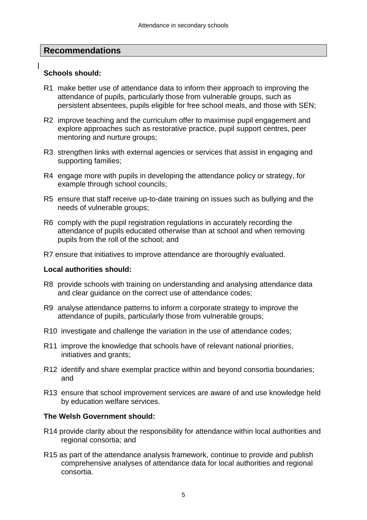#### **Recommendations**

#### **Schools should:**

- R1 make better use of attendance data to inform their approach to improving the attendance of pupils, particularly those from vulnerable groups, such as persistent absentees, pupils eligible for free school meals, and those with SEN;
- R2 improve teaching and the curriculum offer to maximise pupil engagement and explore approaches such as restorative practice, pupil support centres, peer mentoring and nurture groups;
- R3 strengthen links with external agencies or services that assist in engaging and supporting families;
- R4 engage more with pupils in developing the attendance policy or strategy, for example through school councils;
- R5 ensure that staff receive up-to-date training on issues such as bullying and the needs of vulnerable groups;
- R6 comply with the pupil registration regulations in accurately recording the attendance of pupils educated otherwise than at school and when removing pupils from the roll of the school; and
- R7 ensure that initiatives to improve attendance are thoroughly evaluated.

#### **Local authorities should:**

- R8 provide schools with training on understanding and analysing attendance data and clear guidance on the correct use of attendance codes;
- R9 analyse attendance patterns to inform a corporate strategy to improve the attendance of pupils, particularly those from vulnerable groups;
- R10 investigate and challenge the variation in the use of attendance codes;
- R11 improve the knowledge that schools have of relevant national priorities, initiatives and grants;
- R12 identify and share exemplar practice within and beyond consortia boundaries; and
- R13 ensure that school improvement services are aware of and use knowledge held by education welfare services.

#### **The Welsh Government should:**

- R14 provide clarity about the responsibility for attendance within local authorities and regional consortia; and
- R15 as part of the attendance analysis framework, continue to provide and publish comprehensive analyses of attendance data for local authorities and regional consortia.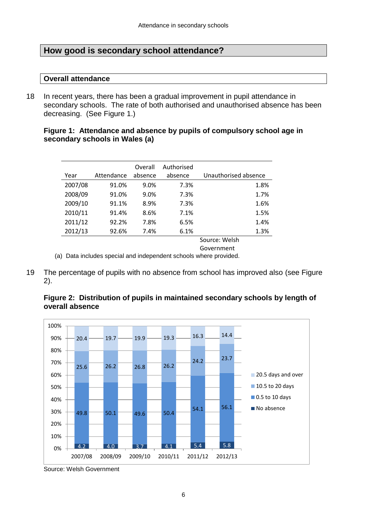#### **How good is secondary school attendance?**

#### **Overall attendance**

18 In recent years, there has been a gradual improvement in pupil attendance in secondary schools. The rate of both authorised and unauthorised absence has been decreasing. (See Figure 1.)

#### **Figure 1: Attendance and absence by pupils of compulsory school age in secondary schools in Wales (a)**

| Year    | Attendance | Overall<br>absence | Authorised<br>absence | Unauthorised absence |
|---------|------------|--------------------|-----------------------|----------------------|
| 2007/08 | 91.0%      | 9.0%               | 7.3%                  | 1.8%                 |
| 2008/09 | 91.0%      | 9.0%               | 7.3%                  | 1.7%                 |
| 2009/10 | 91.1%      | 8.9%               | 7.3%                  | 1.6%                 |
| 2010/11 | 91.4%      | 8.6%               | 7.1%                  | 1.5%                 |
| 2011/12 | 92.2%      | 7.8%               | 6.5%                  | 1.4%                 |
| 2012/13 | 92.6%      | 7.4%               | 6.1%                  | 1.3%                 |
|         |            |                    |                       | Source: Welsh        |

Government

(a) Data includes special and independent schools where provided.

19 The percentage of pupils with no absence from school has improved also (see Figure 2).





Source: Welsh Government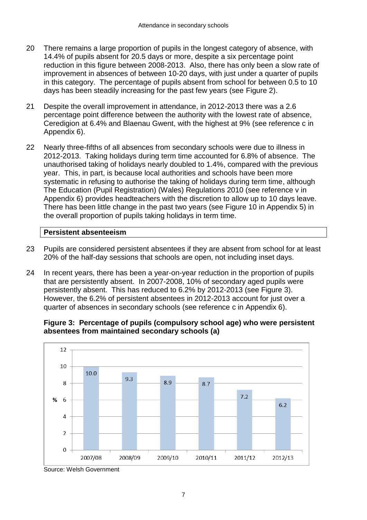- 20 There remains a large proportion of pupils in the longest category of absence, with 14.4% of pupils absent for 20.5 days or more, despite a six percentage point reduction in this figure between 2008-2013. Also, there has only been a slow rate of improvement in absences of between 10-20 days, with just under a quarter of pupils in this category. The percentage of pupils absent from school for between 0.5 to 10 days has been steadily increasing for the past few years (see Figure 2).
- 21 Despite the overall improvement in attendance, in 2012-2013 there was a 2.6 percentage point difference between the authority with the lowest rate of absence, Ceredigion at 6.4% and Blaenau Gwent, with the highest at 9% (see reference c in Appendix 6).
- 22 Nearly three-fifths of all absences from secondary schools were due to illness in 2012-2013. Taking holidays during term time accounted for 6.8% of absence. The unauthorised taking of holidays nearly doubled to 1.4%, compared with the previous year. This, in part, is because local authorities and schools have been more systematic in refusing to authorise the taking of holidays during term time, although The Education (Pupil Registration) (Wales) Regulations 2010 (see reference v in Appendix 6) provides headteachers with the discretion to allow up to 10 days leave. There has been little change in the past two years (see Figure 10 in Appendix 5) in the overall proportion of pupils taking holidays in term time.

#### **Persistent absenteeism**

- 23 Pupils are considered persistent absentees if they are absent from school for at least 20% of the half-day sessions that schools are open, not including inset days.
- 24 In recent years, there has been a year-on-year reduction in the proportion of pupils that are persistently absent. In 2007-2008, 10% of secondary aged pupils were persistently absent. This has reduced to 6.2% by 2012-2013 (see Figure 3). However, the 6.2% of persistent absentees in 2012-2013 account for just over a quarter of absences in secondary schools (see reference c in Appendix 6).

**Figure 3: Percentage of pupils (compulsory school age) who were persistent absentees from maintained secondary schools (a)**



Source: Welsh Government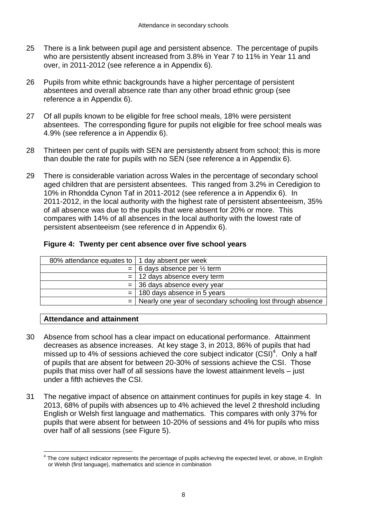- 25 There is a link between pupil age and persistent absence. The percentage of pupils who are persistently absent increased from 3.8% in Year 7 to 11% in Year 11 and over, in 2011-2012 (see reference a in Appendix 6).
- 26 Pupils from white ethnic backgrounds have a higher percentage of persistent absentees and overall absence rate than any other broad ethnic group (see reference a in Appendix 6).
- 27 Of all pupils known to be eligible for free school meals, 18% were persistent absentees. The corresponding figure for pupils not eligible for free school meals was 4.9% (see reference a in Appendix 6).
- 28 Thirteen per cent of pupils with SEN are persistently absent from school; this is more than double the rate for pupils with no SEN (see reference a in Appendix 6).
- 29 There is considerable variation across Wales in the percentage of secondary school aged children that are persistent absentees. This ranged from 3.2% in Ceredigion to 10% in Rhondda Cynon Taf in 2011-2012 (see reference a in Appendix 6). In 2011-2012, in the local authority with the highest rate of persistent absenteeism, 35% of all absence was due to the pupils that were absent for 20% or more. This compares with 14% of all absences in the local authority with the lowest rate of persistent absenteeism (see reference d in Appendix 6).

|  | Figure 4: Twenty per cent absence over five school years |  |
|--|----------------------------------------------------------|--|
|  |                                                          |  |

| 80% attendance equates to   1 day absent per week |                                                                 |
|---------------------------------------------------|-----------------------------------------------------------------|
|                                                   | $=$ 6 days absence per $\frac{1}{2}$ term                       |
|                                                   | $=$ 12 days absence every term                                  |
|                                                   | $=$ 36 days absence every year                                  |
|                                                   | $=$ 180 days absence in 5 years                                 |
|                                                   | $=$ Nearly one year of secondary schooling lost through absence |

#### **Attendance and attainment**

 $\overline{a}$ 

- 30 Absence from school has a clear impact on educational performance. Attainment decreases as absence increases. At key stage 3, in 2013, 86% of pupils that had missed up to 4% of sessions achieved the core subject indicator  $(CSI)^4$ . Only a half of pupils that are absent for between 20-30% of sessions achieve the CSI. Those pupils that miss over half of all sessions have the lowest attainment levels – just under a fifth achieves the CSI.
- 31 The negative impact of absence on attainment continues for pupils in key stage 4. In 2013, 68% of pupils with absences up to 4% achieved the level 2 threshold including English or Welsh first language and mathematics. This compares with only 37% for pupils that were absent for between 10-20% of sessions and 4% for pupils who miss over half of all sessions (see Figure 5).

<sup>&</sup>lt;sup>4</sup> The core subject indicator represents the percentage of pupils achieving the expected level, or above, in English or Welsh (first language), mathematics and science in combination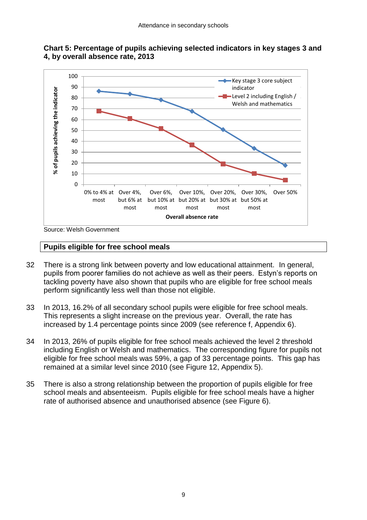



Source: Welsh Government

#### **Pupils eligible for free school meals**

- 32 There is a strong link between poverty and low educational attainment. In general, pupils from poorer families do not achieve as well as their peers. Estyn's reports on tackling poverty have also shown that pupils who are eligible for free school meals perform significantly less well than those not eligible.
- 33 In 2013, 16.2% of all secondary school pupils were eligible for free school meals. This represents a slight increase on the previous year. Overall, the rate has increased by 1.4 percentage points since 2009 (see reference f, Appendix 6).
- 34 In 2013, 26% of pupils eligible for free school meals achieved the level 2 threshold including English or Welsh and mathematics. The corresponding figure for pupils not eligible for free school meals was 59%, a gap of 33 percentage points. This gap has remained at a similar level since 2010 (see Figure 12, Appendix 5).
- 35 There is also a strong relationship between the proportion of pupils eligible for free school meals and absenteeism. Pupils eligible for free school meals have a higher rate of authorised absence and unauthorised absence (see Figure 6).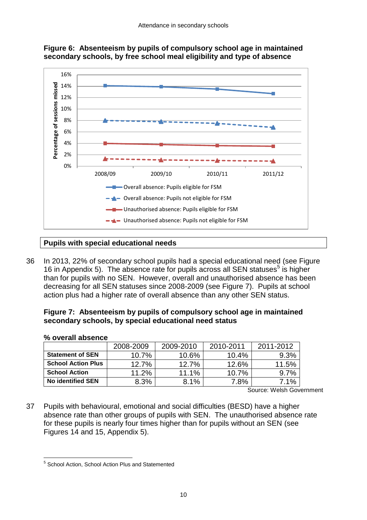



#### **Pupils with special educational needs**

36 In 2013, 22% of secondary school pupils had a special educational need (see Figure 16 in Appendix 5). The absence rate for pupils across all SEN statuses<sup>5</sup> is higher than for pupils with no SEN. However, overall and unauthorised absence has been decreasing for all SEN statuses since 2008-2009 (see Figure 7). Pupils at school action plus had a higher rate of overall absence than any other SEN status.

#### **Figure 7: Absenteeism by pupils of compulsory school age in maintained secondary schools, by special educational need status**

| $10$ VVC an appoince      |           |           |           |           |
|---------------------------|-----------|-----------|-----------|-----------|
|                           | 2008-2009 | 2009-2010 | 2010-2011 | 2011-2012 |
| <b>Statement of SEN</b>   | $10.7\%$  | 10.6%     | $10.4\%$  | 9.3%      |
| <b>School Action Plus</b> | 12.7%     | 12.7%     | 12.6%     | 11.5%     |
| <b>School Action</b>      | 11.2%     | 11.1%     | 10.7%     | 9.7%      |
| <b>No identified SEN</b>  | 8.3%      | 8.1%      | 7.8%      | 7.1%      |

#### **% overall absence**

 $\overline{a}$ 

Source: Welsh Government

37 Pupils with behavioural, emotional and social difficulties (BESD) have a higher absence rate than other groups of pupils with SEN. The unauthorised absence rate for these pupils is nearly four times higher than for pupils without an SEN (see Figures 14 and 15, Appendix 5).

<sup>&</sup>lt;sup>5</sup> School Action, School Action Plus and Statemented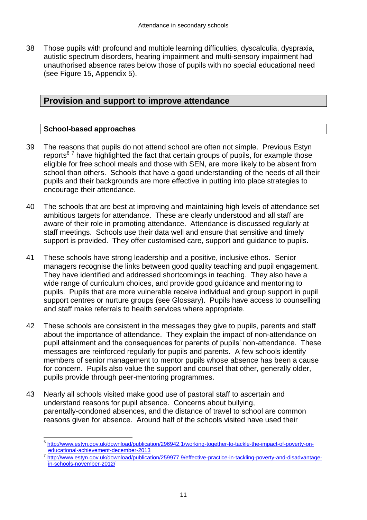38 Those pupils with profound and multiple learning difficulties, dyscalculia, dyspraxia, autistic spectrum disorders, hearing impairment and multi-sensory impairment had unauthorised absence rates below those of pupils with no special educational need (see Figure 15, Appendix 5).

#### **Provision and support to improve attendance**

#### **School-based approaches**

- 39 The reasons that pupils do not attend school are often not simple. Previous Estyn reports<sup>67</sup> have highlighted the fact that certain groups of pupils, for example those eligible for free school meals and those with SEN, are more likely to be absent from school than others. Schools that have a good understanding of the needs of all their pupils and their backgrounds are more effective in putting into place strategies to encourage their attendance.
- 40 The schools that are best at improving and maintaining high levels of attendance set ambitious targets for attendance. These are clearly understood and all staff are aware of their role in promoting attendance. Attendance is discussed regularly at staff meetings. Schools use their data well and ensure that sensitive and timely support is provided. They offer customised care, support and guidance to pupils.
- 41 These schools have strong leadership and a positive, inclusive ethos. Senior managers recognise the links between good quality teaching and pupil engagement. They have identified and addressed shortcomings in teaching. They also have a wide range of curriculum choices, and provide good guidance and mentoring to pupils. Pupils that are more vulnerable receive individual and group support in pupil support centres or nurture groups (see Glossary). Pupils have access to counselling and staff make referrals to health services where appropriate.
- 42 These schools are consistent in the messages they give to pupils, parents and staff about the importance of attendance. They explain the impact of non-attendance on pupil attainment and the consequences for parents of pupils' non-attendance. These messages are reinforced regularly for pupils and parents. A few schools identify members of senior management to mentor pupils whose absence has been a cause for concern. Pupils also value the support and counsel that other, generally older, pupils provide through peer-mentoring programmes.
- 43 Nearly all schools visited make good use of pastoral staff to ascertain and understand reasons for pupil absence. Concerns about bullying, parentally-condoned absences, and the distance of travel to school are common reasons given for absence. Around half of the schools visited have used their

 6 [http://www.estyn.gov.uk/download/publication/296942.1/working-together-to-tackle-the-impact-of-poverty-on](http://www.estyn.gov.uk/download/publication/296942.1/working-together-to-tackle-the-impact-of-poverty-on-educational-achievement-december-2013)[educational-achievement-december-2013](http://www.estyn.gov.uk/download/publication/296942.1/working-together-to-tackle-the-impact-of-poverty-on-educational-achievement-december-2013)

<sup>&</sup>lt;sup>7</sup> [http://www.estyn.gov.uk/download/publication/259977.9/effective-practice-in-tackling-poverty-and-disadvantage](http://www.estyn.gov.uk/download/publication/259977.9/effective-practice-in-tackling-poverty-and-disadvantage-in-schools-november-2012/)[in-schools-november-2012/](http://www.estyn.gov.uk/download/publication/259977.9/effective-practice-in-tackling-poverty-and-disadvantage-in-schools-november-2012/)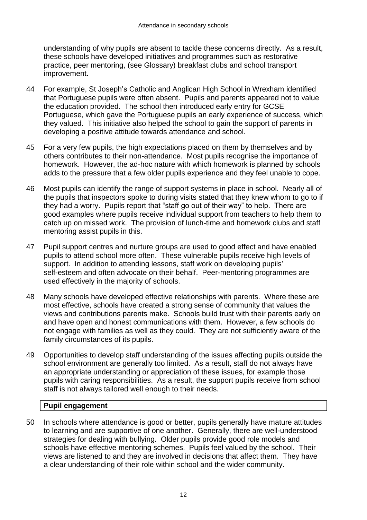understanding of why pupils are absent to tackle these concerns directly. As a result, these schools have developed initiatives and programmes such as restorative practice, peer mentoring, (see Glossary) breakfast clubs and school transport improvement.

- 44 For example, St Joseph's Catholic and Anglican High School in Wrexham identified that Portuguese pupils were often absent. Pupils and parents appeared not to value the education provided. The school then introduced early entry for GCSE Portuguese, which gave the Portuguese pupils an early experience of success, which they valued. This initiative also helped the school to gain the support of parents in developing a positive attitude towards attendance and school.
- 45 For a very few pupils, the high expectations placed on them by themselves and by others contributes to their non-attendance. Most pupils recognise the importance of homework. However, the ad-hoc nature with which homework is planned by schools adds to the pressure that a few older pupils experience and they feel unable to cope.
- 46 Most pupils can identify the range of support systems in place in school. Nearly all of the pupils that inspectors spoke to during visits stated that they knew whom to go to if they had a worry. Pupils report that "staff go out of their way" to help. There are good examples where pupils receive individual support from teachers to help them to catch up on missed work. The provision of lunch-time and homework clubs and staff mentoring assist pupils in this.
- 47 Pupil support centres and nurture groups are used to good effect and have enabled pupils to attend school more often. These vulnerable pupils receive high levels of support. In addition to attending lessons, staff work on developing pupils' self-esteem and often advocate on their behalf. Peer-mentoring programmes are used effectively in the majority of schools.
- 48 Many schools have developed effective relationships with parents. Where these are most effective, schools have created a strong sense of community that values the views and contributions parents make. Schools build trust with their parents early on and have open and honest communications with them. However, a few schools do not engage with families as well as they could. They are not sufficiently aware of the family circumstances of its pupils.
- 49 Opportunities to develop staff understanding of the issues affecting pupils outside the school environment are generally too limited. As a result, staff do not always have an appropriate understanding or appreciation of these issues, for example those pupils with caring responsibilities. As a result, the support pupils receive from school staff is not always tailored well enough to their needs.

#### **Pupil engagement**

50 In schools where attendance is good or better, pupils generally have mature attitudes to learning and are supportive of one another. Generally, there are well-understood strategies for dealing with bullying. Older pupils provide good role models and schools have effective mentoring schemes. Pupils feel valued by the school. Their views are listened to and they are involved in decisions that affect them. They have a clear understanding of their role within school and the wider community.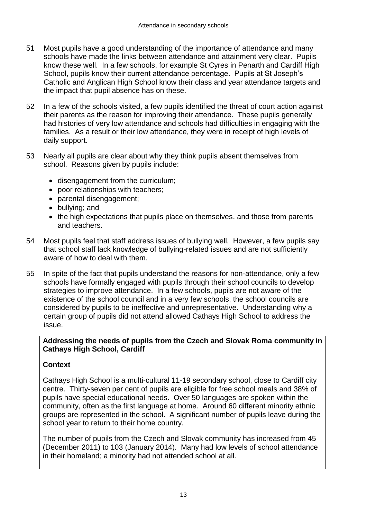- 51 Most pupils have a good understanding of the importance of attendance and many schools have made the links between attendance and attainment very clear. Pupils know these well. In a few schools, for example St Cyres in Penarth and Cardiff High School, pupils know their current attendance percentage. Pupils at St Joseph's Catholic and Anglican High School know their class and year attendance targets and the impact that pupil absence has on these.
- 52 In a few of the schools visited, a few pupils identified the threat of court action against their parents as the reason for improving their attendance. These pupils generally had histories of very low attendance and schools had difficulties in engaging with the families. As a result or their low attendance, they were in receipt of high levels of daily support.
- 53 Nearly all pupils are clear about why they think pupils absent themselves from school. Reasons given by pupils include:
	- disengagement from the curriculum;
	- poor relationships with teachers:
	- parental disengagement;
	- bullying; and
	- the high expectations that pupils place on themselves, and those from parents and teachers.
- 54 Most pupils feel that staff address issues of bullying well. However, a few pupils say that school staff lack knowledge of bullying-related issues and are not sufficiently aware of how to deal with them.
- 55 In spite of the fact that pupils understand the reasons for non-attendance, only a few schools have formally engaged with pupils through their school councils to develop strategies to improve attendance. In a few schools, pupils are not aware of the existence of the school council and in a very few schools, the school councils are considered by pupils to be ineffective and unrepresentative. Understanding why a certain group of pupils did not attend allowed Cathays High School to address the issue.

#### **Addressing the needs of pupils from the Czech and Slovak Roma community in Cathays High School, Cardiff**

#### **Context**

Cathays High School is a multi-cultural 11-19 secondary school, close to Cardiff city centre. Thirty-seven per cent of pupils are eligible for free school meals and 38% of pupils have special educational needs. Over 50 languages are spoken within the community, often as the first language at home. Around 60 different minority ethnic groups are represented in the school. A significant number of pupils leave during the school year to return to their home country.

The number of pupils from the Czech and Slovak community has increased from 45 (December 2011) to 103 (January 2014). Many had low levels of school attendance in their homeland; a minority had not attended school at all.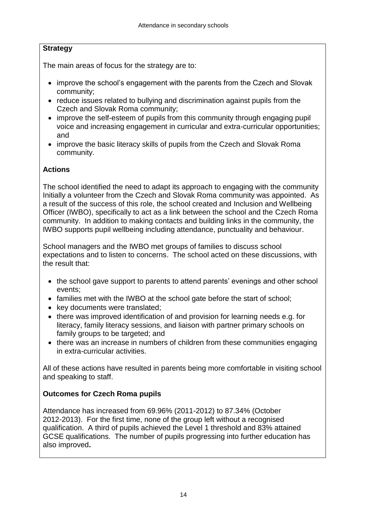#### **Strategy**

The main areas of focus for the strategy are to:

- improve the school's engagement with the parents from the Czech and Slovak community;
- reduce issues related to bullying and discrimination against pupils from the Czech and Slovak Roma community;
- improve the self-esteem of pupils from this community through engaging pupil voice and increasing engagement in curricular and extra-curricular opportunities; and
- improve the basic literacy skills of pupils from the Czech and Slovak Roma community.

#### **Actions**

The school identified the need to adapt its approach to engaging with the community Initially a volunteer from the Czech and Slovak Roma community was appointed. As a result of the success of this role, the school created and Inclusion and Wellbeing Officer (IWBO), specifically to act as a link between the school and the Czech Roma community. In addition to making contacts and building links in the community, the IWBO supports pupil wellbeing including attendance, punctuality and behaviour.

School managers and the IWBO met groups of families to discuss school expectations and to listen to concerns. The school acted on these discussions, with the result that:

- the school gave support to parents to attend parents' evenings and other school events;
- families met with the IWBO at the school gate before the start of school;
- key documents were translated;
- there was improved identification of and provision for learning needs e.g. for literacy, family literacy sessions, and liaison with partner primary schools on family groups to be targeted; and
- there was an increase in numbers of children from these communities engaging in extra-curricular activities.

All of these actions have resulted in parents being more comfortable in visiting school and speaking to staff.

#### **Outcomes for Czech Roma pupils**

Attendance has increased from 69.96% (2011-2012) to 87.34% (October 2012-2013). For the first time, none of the group left without a recognised qualification. A third of pupils achieved the Level 1 threshold and 83% attained GCSE qualifications. The number of pupils progressing into further education has also improved**.**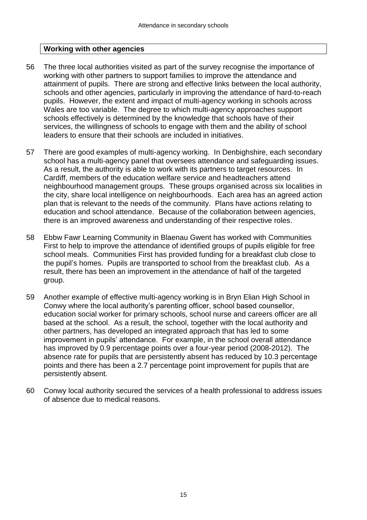#### **Working with other agencies**

- 56 The three local authorities visited as part of the survey recognise the importance of working with other partners to support families to improve the attendance and attainment of pupils. There are strong and effective links between the local authority, schools and other agencies, particularly in improving the attendance of hard-to-reach pupils. However, the extent and impact of multi-agency working in schools across Wales are too variable. The degree to which multi-agency approaches support schools effectively is determined by the knowledge that schools have of their services, the willingness of schools to engage with them and the ability of school leaders to ensure that their schools are included in initiatives.
- 57 There are good examples of multi-agency working. In Denbighshire, each secondary school has a multi-agency panel that oversees attendance and safequarding issues. As a result, the authority is able to work with its partners to target resources. In Cardiff, members of the education welfare service and headteachers attend neighbourhood management groups. These groups organised across six localities in the city, share local intelligence on neighbourhoods. Each area has an agreed action plan that is relevant to the needs of the community. Plans have actions relating to education and school attendance. Because of the collaboration between agencies, there is an improved awareness and understanding of their respective roles.
- 58 Ebbw Fawr Learning Community in Blaenau Gwent has worked with Communities First to help to improve the attendance of identified groups of pupils eligible for free school meals. Communities First has provided funding for a breakfast club close to the pupil's homes. Pupils are transported to school from the breakfast club. As a result, there has been an improvement in the attendance of half of the targeted group.
- 59 Another example of effective multi-agency working is in Bryn Elian High School in Conwy where the local authority's parenting officer, school based counsellor, education social worker for primary schools, school nurse and careers officer are all based at the school. As a result, the school, together with the local authority and other partners, has developed an integrated approach that has led to some improvement in pupils' attendance. For example, in the school overall attendance has improved by 0.9 percentage points over a four-year period (2008-2012). The absence rate for pupils that are persistently absent has reduced by 10.3 percentage points and there has been a 2.7 percentage point improvement for pupils that are persistently absent.
- 60 Conwy local authority secured the services of a health professional to address issues of absence due to medical reasons.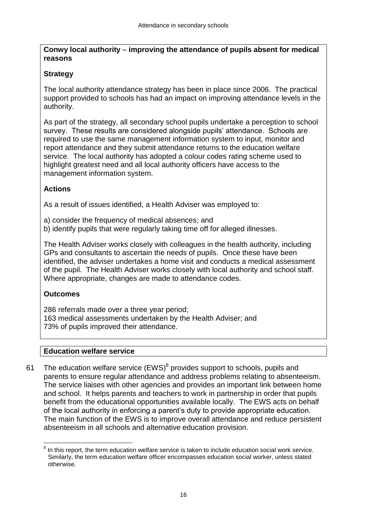**Conwy local authority** – **improving the attendance of pupils absent for medical reasons**

#### **Strategy**

The local authority attendance strategy has been in place since 2006. The practical support provided to schools has had an impact on improving attendance levels in the authority.

As part of the strategy, all secondary school pupils undertake a perception to school survey. These results are considered alongside pupils' attendance. Schools are required to use the same management information system to input, monitor and report attendance and they submit attendance returns to the education welfare service. The local authority has adopted a colour codes rating scheme used to highlight greatest need and all local authority officers have access to the management information system.

#### **Actions**

As a result of issues identified, a Health Adviser was employed to:

a) consider the frequency of medical absences; and

b) identify pupils that were regularly taking time off for alleged illnesses.

The Health Adviser works closely with colleagues in the health authority, including GPs and consultants to ascertain the needs of pupils. Once these have been identified, the adviser undertakes a home visit and conducts a medical assessment of the pupil. The Health Adviser works closely with local authority and school staff. Where appropriate, changes are made to attendance codes.

#### **Outcomes**

286 referrals made over a three year period; 163 medical assessments undertaken by the Health Adviser; and 73% of pupils improved their attendance.

#### **Education welfare service**

61 The education welfare service  $(EWS)^8$  provides support to schools, pupils and parents to ensure regular attendance and address problems relating to absenteeism. The service liaises with other agencies and provides an important link between home and school. It helps parents and teachers to work in partnership in order that pupils benefit from the educational opportunities available locally. The EWS acts on behalf of the local authority in enforcing a parent's duty to provide appropriate education. The main function of the EWS is to improve overall attendance and reduce persistent absenteeism in all schools and alternative education provision.

 $\overline{a}$  $8$  In this report, the term education welfare service is taken to include education social work service. Similarly, the term education welfare officer encompasses education social worker, unless stated otherwise.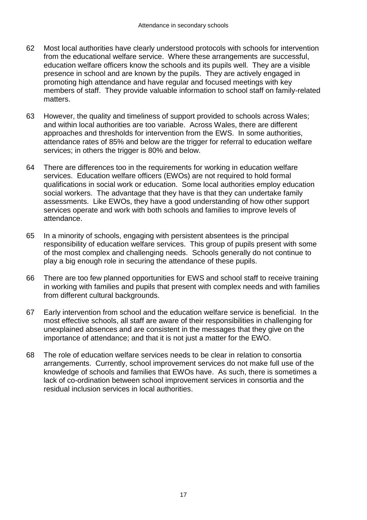- 62 Most local authorities have clearly understood protocols with schools for intervention from the educational welfare service. Where these arrangements are successful, education welfare officers know the schools and its pupils well. They are a visible presence in school and are known by the pupils. They are actively engaged in promoting high attendance and have regular and focused meetings with key members of staff. They provide valuable information to school staff on family-related matters.
- 63 However, the quality and timeliness of support provided to schools across Wales; and within local authorities are too variable. Across Wales, there are different approaches and thresholds for intervention from the EWS. In some authorities, attendance rates of 85% and below are the trigger for referral to education welfare services; in others the trigger is 80% and below.
- 64 There are differences too in the requirements for working in education welfare services. Education welfare officers (EWOs) are not required to hold formal qualifications in social work or education. Some local authorities employ education social workers. The advantage that they have is that they can undertake family assessments. Like EWOs, they have a good understanding of how other support services operate and work with both schools and families to improve levels of attendance.
- 65 In a minority of schools, engaging with persistent absentees is the principal responsibility of education welfare services. This group of pupils present with some of the most complex and challenging needs. Schools generally do not continue to play a big enough role in securing the attendance of these pupils.
- 66 There are too few planned opportunities for EWS and school staff to receive training in working with families and pupils that present with complex needs and with families from different cultural backgrounds.
- 67 Early intervention from school and the education welfare service is beneficial. In the most effective schools, all staff are aware of their responsibilities in challenging for unexplained absences and are consistent in the messages that they give on the importance of attendance; and that it is not just a matter for the EWO.
- 68 The role of education welfare services needs to be clear in relation to consortia arrangements. Currently, school improvement services do not make full use of the knowledge of schools and families that EWOs have. As such, there is sometimes a lack of co-ordination between school improvement services in consortia and the residual inclusion services in local authorities.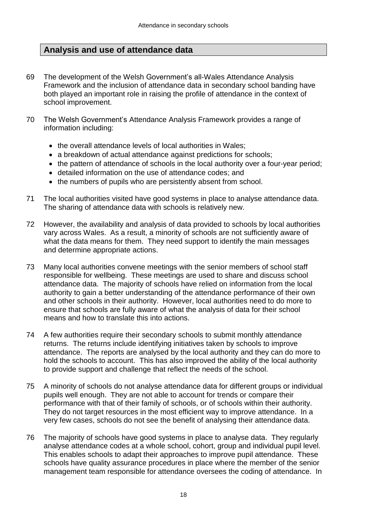## **Analysis and use of attendance data**

- 69 The development of the Welsh Government's all-Wales Attendance Analysis Framework and the inclusion of attendance data in secondary school banding have both played an important role in raising the profile of attendance in the context of school improvement.
- 70 The Welsh Government's Attendance Analysis Framework provides a range of information including:
	- the overall attendance levels of local authorities in Wales:
	- a breakdown of actual attendance against predictions for schools;
	- the pattern of attendance of schools in the local authority over a four-year period;
	- detailed information on the use of attendance codes; and
	- the numbers of pupils who are persistently absent from school.
- 71 The local authorities visited have good systems in place to analyse attendance data. The sharing of attendance data with schools is relatively new.
- 72 However, the availability and analysis of data provided to schools by local authorities vary across Wales. As a result, a minority of schools are not sufficiently aware of what the data means for them. They need support to identify the main messages and determine appropriate actions.
- 73 Many local authorities convene meetings with the senior members of school staff responsible for wellbeing. These meetings are used to share and discuss school attendance data. The majority of schools have relied on information from the local authority to gain a better understanding of the attendance performance of their own and other schools in their authority. However, local authorities need to do more to ensure that schools are fully aware of what the analysis of data for their school means and how to translate this into actions.
- 74 A few authorities require their secondary schools to submit monthly attendance returns. The returns include identifying initiatives taken by schools to improve attendance. The reports are analysed by the local authority and they can do more to hold the schools to account. This has also improved the ability of the local authority to provide support and challenge that reflect the needs of the school.
- 75 A minority of schools do not analyse attendance data for different groups or individual pupils well enough. They are not able to account for trends or compare their performance with that of their family of schools, or of schools within their authority. They do not target resources in the most efficient way to improve attendance. In a very few cases, schools do not see the benefit of analysing their attendance data.
- 76 The majority of schools have good systems in place to analyse data. They regularly analyse attendance codes at a whole school, cohort, group and individual pupil level. This enables schools to adapt their approaches to improve pupil attendance. These schools have quality assurance procedures in place where the member of the senior management team responsible for attendance oversees the coding of attendance. In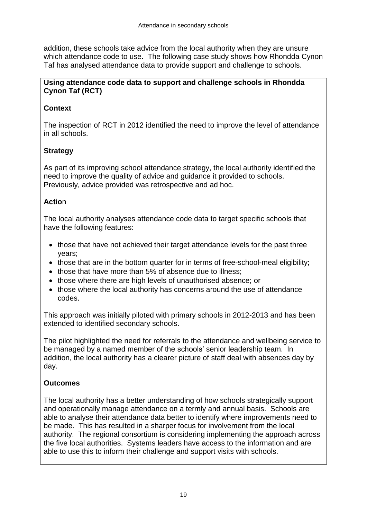addition, these schools take advice from the local authority when they are unsure which attendance code to use. The following case study shows how Rhondda Cynon Taf has analysed attendance data to provide support and challenge to schools.

#### **Using attendance code data to support and challenge schools in Rhondda Cynon Taf (RCT)**

#### **Context**

The inspection of RCT in 2012 identified the need to improve the level of attendance in all schools.

#### **Strategy**

As part of its improving school attendance strategy, the local authority identified the need to improve the quality of advice and guidance it provided to schools. Previously, advice provided was retrospective and ad hoc.

#### **Actio**n

The local authority analyses attendance code data to target specific schools that have the following features:

- those that have not achieved their target attendance levels for the past three years;
- those that are in the bottom quarter for in terms of free-school-meal eligibility;
- those that have more than 5% of absence due to illness;
- those where there are high levels of unauthorised absence; or
- those where the local authority has concerns around the use of attendance codes.

This approach was initially piloted with primary schools in 2012-2013 and has been extended to identified secondary schools.

The pilot highlighted the need for referrals to the attendance and wellbeing service to be managed by a named member of the schools' senior leadership team. In addition, the local authority has a clearer picture of staff deal with absences day by day.

#### **Outcomes**

The local authority has a better understanding of how schools strategically support and operationally manage attendance on a termly and annual basis. Schools are able to analyse their attendance data better to identify where improvements need to be made. This has resulted in a sharper focus for involvement from the local authority. The regional consortium is considering implementing the approach across the five local authorities. Systems leaders have access to the information and are able to use this to inform their challenge and support visits with schools.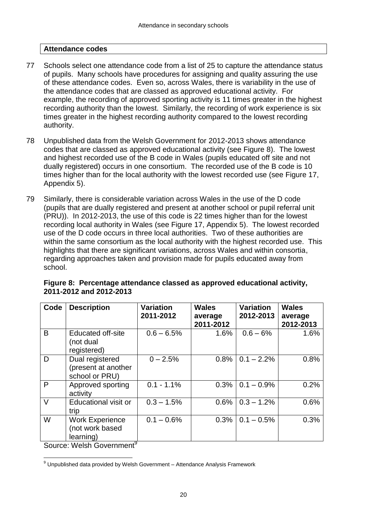#### **Attendance codes**

- 77 Schools select one attendance code from a list of 25 to capture the attendance status of pupils. Many schools have procedures for assigning and quality assuring the use of these attendance codes. Even so, across Wales, there is variability in the use of the attendance codes that are classed as approved educational activity. For example, the recording of approved sporting activity is 11 times greater in the highest recording authority than the lowest. Similarly, the recording of work experience is six times greater in the highest recording authority compared to the lowest recording authority.
- 78 Unpublished data from the Welsh Government for 2012-2013 shows attendance codes that are classed as approved educational activity (see Figure 8). The lowest and highest recorded use of the B code in Wales (pupils educated off site and not dually registered) occurs in one consortium. The recorded use of the B code is 10 times higher than for the local authority with the lowest recorded use (see Figure 17, Appendix 5).
- 79 Similarly, there is considerable variation across Wales in the use of the D code (pupils that are dually registered and present at another school or pupil referral unit (PRU)). In 2012-2013, the use of this code is 22 times higher than for the lowest recording local authority in Wales (see Figure 17, Appendix 5). The lowest recorded use of the D code occurs in three local authorities. Two of these authorities are within the same consortium as the local authority with the highest recorded use. This highlights that there are significant variations, across Wales and within consortia, regarding approaches taken and provision made for pupils educated away from school.

| Code   | <b>Description</b>                                       | <b>Variation</b><br>2011-2012 | <b>Wales</b><br>average<br>2011-2012 | <b>Variation</b><br>2012-2013 | <b>Wales</b><br>average<br>2012-2013 |
|--------|----------------------------------------------------------|-------------------------------|--------------------------------------|-------------------------------|--------------------------------------|
| B      | <b>Educated off-site</b><br>(not dual<br>registered)     | $0.6 - 6.5%$                  | 1.6%                                 | $0.6 - 6\%$                   | 1.6%                                 |
| D      | Dual registered<br>(present at another<br>school or PRU) | $0 - 2.5%$                    | 0.8%                                 | $0.1 - 2.2\%$                 | 0.8%                                 |
| P      | Approved sporting<br>activity                            | $0.1 - 1.1\%$                 | 0.3%                                 | $0.1 - 0.9\%$                 | 0.2%                                 |
| $\vee$ | Educational visit or<br>trip                             | $0.3 - 1.5%$                  | 0.6%                                 | $0.3 - 1.2\%$                 | 0.6%                                 |
| W      | <b>Work Experience</b><br>(not work based<br>learning)   | $0.1 - 0.6\%$                 | 0.3%                                 | $0.1 - 0.5\%$                 | 0.3%                                 |

**Figure 8: Percentage attendance classed as approved educational activity, 2011-2012 and 2012-2013**

Source: Welsh Government<sup>9</sup>

 $\overline{a}$ 

 $^9$  Unpublished data provided by Welsh Government – Attendance Analysis Framework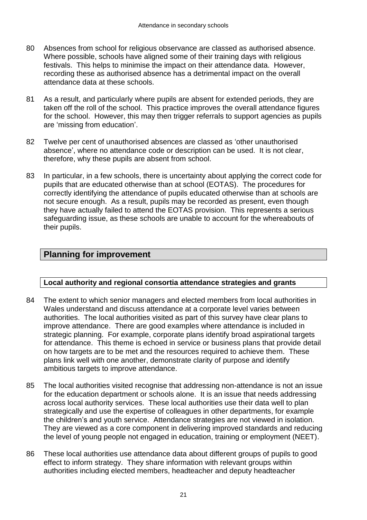- 80 Absences from school for religious observance are classed as authorised absence. Where possible, schools have aligned some of their training days with religious festivals. This helps to minimise the impact on their attendance data. However, recording these as authorised absence has a detrimental impact on the overall attendance data at these schools.
- 81 As a result, and particularly where pupils are absent for extended periods, they are taken off the roll of the school. This practice improves the overall attendance figures for the school. However, this may then trigger referrals to support agencies as pupils are 'missing from education'.
- 82 Twelve per cent of unauthorised absences are classed as 'other unauthorised absence', where no attendance code or description can be used. It is not clear, therefore, why these pupils are absent from school.
- 83 In particular, in a few schools, there is uncertainty about applying the correct code for pupils that are educated otherwise than at school (EOTAS). The procedures for correctly identifying the attendance of pupils educated otherwise than at schools are not secure enough. As a result, pupils may be recorded as present, even though they have actually failed to attend the EOTAS provision. This represents a serious safeguarding issue, as these schools are unable to account for the whereabouts of their pupils.

## **Planning for improvement**

#### **Local authority and regional consortia attendance strategies and grants**

- 84 The extent to which senior managers and elected members from local authorities in Wales understand and discuss attendance at a corporate level varies between authorities. The local authorities visited as part of this survey have clear plans to improve attendance. There are good examples where attendance is included in strategic planning. For example, corporate plans identify broad aspirational targets for attendance. This theme is echoed in service or business plans that provide detail on how targets are to be met and the resources required to achieve them. These plans link well with one another, demonstrate clarity of purpose and identify ambitious targets to improve attendance.
- 85 The local authorities visited recognise that addressing non-attendance is not an issue for the education department or schools alone. It is an issue that needs addressing across local authority services. These local authorities use their data well to plan strategically and use the expertise of colleagues in other departments, for example the children's and youth service. Attendance strategies are not viewed in isolation. They are viewed as a core component in delivering improved standards and reducing the level of young people not engaged in education, training or employment (NEET).
- 86 These local authorities use attendance data about different groups of pupils to good effect to inform strategy. They share information with relevant groups within authorities including elected members, headteacher and deputy headteacher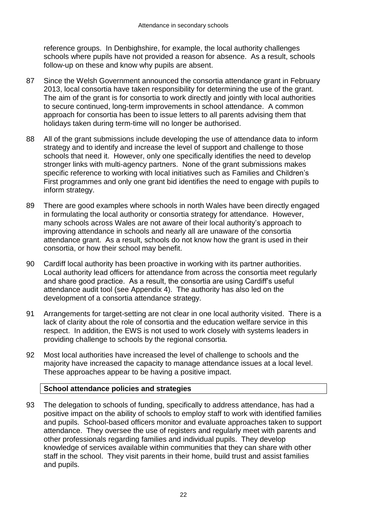reference groups. In Denbighshire, for example, the local authority challenges schools where pupils have not provided a reason for absence. As a result, schools follow-up on these and know why pupils are absent.

- 87 Since the Welsh Government announced the consortia attendance grant in February 2013, local consortia have taken responsibility for determining the use of the grant. The aim of the grant is for consortia to work directly and jointly with local authorities to secure continued, long-term improvements in school attendance. A common approach for consortia has been to issue letters to all parents advising them that holidays taken during term-time will no longer be authorised.
- 88 All of the grant submissions include developing the use of attendance data to inform strategy and to identify and increase the level of support and challenge to those schools that need it. However, only one specifically identifies the need to develop stronger links with multi-agency partners. None of the grant submissions makes specific reference to working with local initiatives such as Families and Children's First programmes and only one grant bid identifies the need to engage with pupils to inform strategy.
- 89 There are good examples where schools in north Wales have been directly engaged in formulating the local authority or consortia strategy for attendance. However, many schools across Wales are not aware of their local authority's approach to improving attendance in schools and nearly all are unaware of the consortia attendance grant. As a result, schools do not know how the grant is used in their consortia, or how their school may benefit.
- 90 Cardiff local authority has been proactive in working with its partner authorities. Local authority lead officers for attendance from across the consortia meet regularly and share good practice. As a result, the consortia are using Cardiff's useful attendance audit tool (see Appendix 4). The authority has also led on the development of a consortia attendance strategy.
- 91 Arrangements for target-setting are not clear in one local authority visited. There is a lack of clarity about the role of consortia and the education welfare service in this respect. In addition, the EWS is not used to work closely with systems leaders in providing challenge to schools by the regional consortia.
- 92 Most local authorities have increased the level of challenge to schools and the majority have increased the capacity to manage attendance issues at a local level. These approaches appear to be having a positive impact.

#### **School attendance policies and strategies**

93 The delegation to schools of funding, specifically to address attendance, has had a positive impact on the ability of schools to employ staff to work with identified families and pupils. School-based officers monitor and evaluate approaches taken to support attendance. They oversee the use of registers and regularly meet with parents and other professionals regarding families and individual pupils. They develop knowledge of services available within communities that they can share with other staff in the school. They visit parents in their home, build trust and assist families and pupils.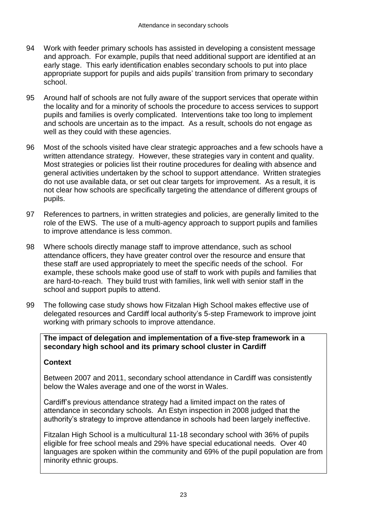- 94 Work with feeder primary schools has assisted in developing a consistent message and approach. For example, pupils that need additional support are identified at an early stage. This early identification enables secondary schools to put into place appropriate support for pupils and aids pupils' transition from primary to secondary school.
- 95 Around half of schools are not fully aware of the support services that operate within the locality and for a minority of schools the procedure to access services to support pupils and families is overly complicated. Interventions take too long to implement and schools are uncertain as to the impact. As a result, schools do not engage as well as they could with these agencies.
- 96 Most of the schools visited have clear strategic approaches and a few schools have a written attendance strategy. However, these strategies vary in content and quality. Most strategies or policies list their routine procedures for dealing with absence and general activities undertaken by the school to support attendance. Written strategies do not use available data, or set out clear targets for improvement. As a result, it is not clear how schools are specifically targeting the attendance of different groups of pupils.
- 97 References to partners, in written strategies and policies, are generally limited to the role of the EWS. The use of a multi-agency approach to support pupils and families to improve attendance is less common.
- 98 Where schools directly manage staff to improve attendance, such as school attendance officers, they have greater control over the resource and ensure that these staff are used appropriately to meet the specific needs of the school. For example, these schools make good use of staff to work with pupils and families that are hard-to-reach. They build trust with families, link well with senior staff in the school and support pupils to attend.
- 99 The following case study shows how Fitzalan High School makes effective use of delegated resources and Cardiff local authority's 5-step Framework to improve joint working with primary schools to improve attendance.

#### **The impact of delegation and implementation of a five-step framework in a secondary high school and its primary school cluster in Cardiff**

#### **Context**

Between 2007 and 2011, secondary school attendance in Cardiff was consistently below the Wales average and one of the worst in Wales.

Cardiff's previous attendance strategy had a limited impact on the rates of attendance in secondary schools. An Estyn inspection in 2008 judged that the authority's strategy to improve attendance in schools had been largely ineffective.

Fitzalan High School is a multicultural 11-18 secondary school with 36% of pupils eligible for free school meals and 29% have special educational needs. Over 40 languages are spoken within the community and 69% of the pupil population are from minority ethnic groups.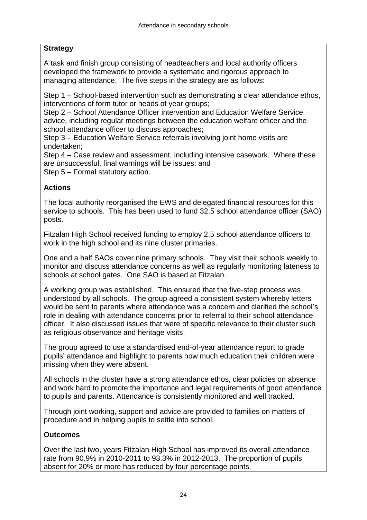#### **Strategy**

A task and finish group consisting of headteachers and local authority officers developed the framework to provide a systematic and rigorous approach to managing attendance. The five steps in the strategy are as follows:

Step 1 – School-based intervention such as demonstrating a clear attendance ethos, interventions of form tutor or heads of year groups;

Step 2 – School Attendance Officer intervention and Education Welfare Service advice, including regular meetings between the education welfare officer and the school attendance officer to discuss approaches;

Step 3 – Education Welfare Service referrals involving joint home visits are undertaken;

Step 4 – Case review and assessment, including intensive casework. Where these are unsuccessful, final warnings will be issues; and

Step 5 – Formal statutory action.

#### **Actions**

The local authority reorganised the EWS and delegated financial resources for this service to schools. This has been used to fund 32.5 school attendance officer (SAO) posts.

Fitzalan High School received funding to employ 2.5 school attendance officers to work in the high school and its nine cluster primaries.

One and a half SAOs cover nine primary schools. They visit their schools weekly to monitor and discuss attendance concerns as well as regularly monitoring lateness to schools at school gates. One SAO is based at Fitzalan.

A working group was established. This ensured that the five-step process was understood by all schools. The group agreed a consistent system whereby letters would be sent to parents where attendance was a concern and clarified the school's role in dealing with attendance concerns prior to referral to their school attendance officer. It also discussed issues that were of specific relevance to their cluster such as religious observance and heritage visits.

The group agreed to use a standardised end-of-year attendance report to grade pupils' attendance and highlight to parents how much education their children were missing when they were absent.

All schools in the cluster have a strong attendance ethos, clear policies on absence and work hard to promote the importance and legal requirements of good attendance to pupils and parents. Attendance is consistently monitored and well tracked.

Through joint working, support and advice are provided to families on matters of procedure and in helping pupils to settle into school.

#### **Outcomes**

Over the last two, years Fitzalan High School has improved its overall attendance rate from 90.9% in 2010-2011 to 93.3% in 2012-2013. The proportion of pupils absent for 20% or more has reduced by four percentage points.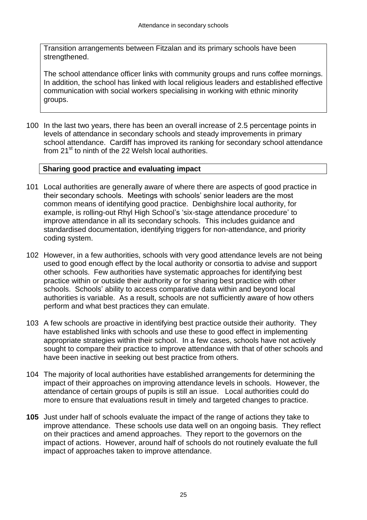Transition arrangements between Fitzalan and its primary schools have been strengthened.

The school attendance officer links with community groups and runs coffee mornings. In addition, the school has linked with local religious leaders and established effective communication with social workers specialising in working with ethnic minority groups.

100 In the last two years, there has been an overall increase of 2.5 percentage points in levels of attendance in secondary schools and steady improvements in primary school attendance. Cardiff has improved its ranking for secondary school attendance from 21<sup>st</sup> to ninth of the 22 Welsh local authorities.

#### **Sharing good practice and evaluating impact**

- 101 Local authorities are generally aware of where there are aspects of good practice in their secondary schools. Meetings with schools' senior leaders are the most common means of identifying good practice. Denbighshire local authority, for example, is rolling-out Rhyl High School's 'six-stage attendance procedure' to improve attendance in all its secondary schools. This includes guidance and standardised documentation, identifying triggers for non-attendance, and priority coding system.
- 102 However, in a few authorities, schools with very good attendance levels are not being used to good enough effect by the local authority or consortia to advise and support other schools. Few authorities have systematic approaches for identifying best practice within or outside their authority or for sharing best practice with other schools. Schools' ability to access comparative data within and beyond local authorities is variable. As a result, schools are not sufficiently aware of how others perform and what best practices they can emulate.
- 103 A few schools are proactive in identifying best practice outside their authority. They have established links with schools and use these to good effect in implementing appropriate strategies within their school. In a few cases, schools have not actively sought to compare their practice to improve attendance with that of other schools and have been inactive in seeking out best practice from others.
- 104 The majority of local authorities have established arrangements for determining the impact of their approaches on improving attendance levels in schools. However, the attendance of certain groups of pupils is still an issue. Local authorities could do more to ensure that evaluations result in timely and targeted changes to practice.
- **105** Just under half of schools evaluate the impact of the range of actions they take to improve attendance. These schools use data well on an ongoing basis. They reflect on their practices and amend approaches. They report to the governors on the impact of actions. However, around half of schools do not routinely evaluate the full impact of approaches taken to improve attendance.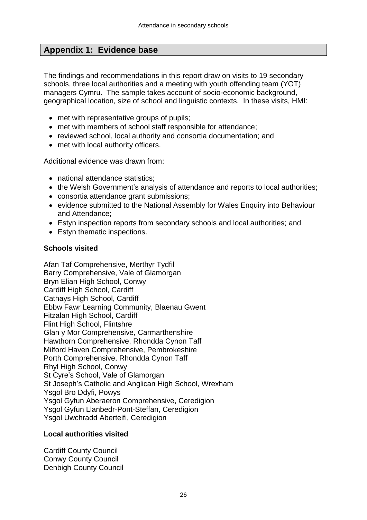## **Appendix 1: Evidence base**

The findings and recommendations in this report draw on visits to 19 secondary schools, three local authorities and a meeting with youth offending team (YOT) managers Cymru. The sample takes account of socio-economic background, geographical location, size of school and linguistic contexts. In these visits, HMI:

- met with representative groups of pupils;
- met with members of school staff responsible for attendance;
- reviewed school, local authority and consortia documentation; and
- met with local authority officers.

Additional evidence was drawn from:

- national attendance statistics:
- the Welsh Government's analysis of attendance and reports to local authorities;
- consortia attendance grant submissions;
- evidence submitted to the National Assembly for Wales Enquiry into Behaviour and Attendance;
- Estyn inspection reports from secondary schools and local authorities; and
- Estyn thematic inspections.

#### **Schools visited**

Afan Taf Comprehensive, Merthyr Tydfil Barry Comprehensive, Vale of Glamorgan Bryn Elian High School, Conwy Cardiff High School, Cardiff Cathays High School, Cardiff Ebbw Fawr Learning Community, Blaenau Gwent Fitzalan High School, Cardiff Flint High School, Flintshre Glan y Mor Comprehensive, Carmarthenshire Hawthorn Comprehensive, Rhondda Cynon Taff Milford Haven Comprehensive, Pembrokeshire Porth Comprehensive, Rhondda Cynon Taff Rhyl High School, Conwy St Cyre's School, Vale of Glamorgan St Joseph's Catholic and Anglican High School, Wrexham Ysgol Bro Ddyfi, Powys Ysgol Gyfun Aberaeron Comprehensive, Ceredigion Ysgol Gyfun Llanbedr-Pont-Steffan, Ceredigion Ysgol Uwchradd Aberteifi, Ceredigion

#### **Local authorities visited**

Cardiff County Council Conwy County Council Denbigh County Council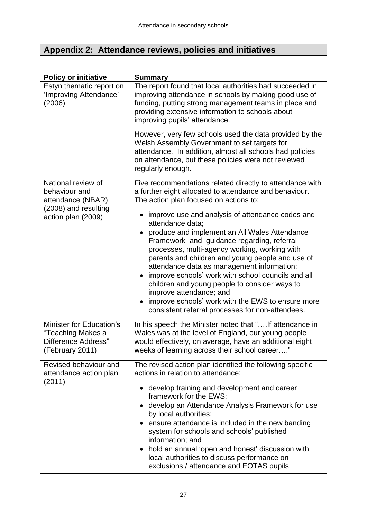## **Appendix 2: Attendance reviews, policies and initiatives**

| <b>Policy or initiative</b>                                                             | <b>Summary</b>                                                                                                                                                                                                                                                                                                                                                                                                                                                                                                                                                    |
|-----------------------------------------------------------------------------------------|-------------------------------------------------------------------------------------------------------------------------------------------------------------------------------------------------------------------------------------------------------------------------------------------------------------------------------------------------------------------------------------------------------------------------------------------------------------------------------------------------------------------------------------------------------------------|
| Estyn thematic report on<br>'Improving Attendance'<br>(2006)                            | The report found that local authorities had succeeded in<br>improving attendance in schools by making good use of<br>funding, putting strong management teams in place and<br>providing extensive information to schools about<br>improving pupils' attendance.                                                                                                                                                                                                                                                                                                   |
|                                                                                         | However, very few schools used the data provided by the<br>Welsh Assembly Government to set targets for<br>attendance. In addition, almost all schools had policies<br>on attendance, but these policies were not reviewed<br>regularly enough.                                                                                                                                                                                                                                                                                                                   |
| National review of<br>behaviour and<br>attendance (NBAR)                                | Five recommendations related directly to attendance with<br>a further eight allocated to attendance and behaviour.<br>The action plan focused on actions to:                                                                                                                                                                                                                                                                                                                                                                                                      |
| (2008) and resulting<br>action plan (2009)                                              | improve use and analysis of attendance codes and<br>attendance data;<br>produce and implement an All Wales Attendance<br>Framework and guidance regarding, referral<br>processes, multi-agency working, working with<br>parents and children and young people and use of<br>attendance data as management information;<br>improve schools' work with school councils and all<br>children and young people to consider ways to<br>improve attendance; and<br>improve schools' work with the EWS to ensure more<br>consistent referral processes for non-attendees. |
| Minister for Education's<br>"Teaching Makes a<br>Difference Address"<br>(February 2011) | In his speech the Minister noted that "If attendance in<br>Wales was at the level of England, our young people<br>would effectively, on average, have an additional eight<br>weeks of learning across their school career                                                                                                                                                                                                                                                                                                                                         |
| Revised behaviour and<br>attendance action plan<br>(2011)                               | The revised action plan identified the following specific<br>actions in relation to attendance:                                                                                                                                                                                                                                                                                                                                                                                                                                                                   |
|                                                                                         | • develop training and development and career<br>framework for the EWS;<br>develop an Attendance Analysis Framework for use<br>by local authorities;<br>ensure attendance is included in the new banding<br>system for schools and schools' published<br>information; and<br>hold an annual 'open and honest' discussion with<br>local authorities to discuss performance on<br>exclusions / attendance and EOTAS pupils.                                                                                                                                         |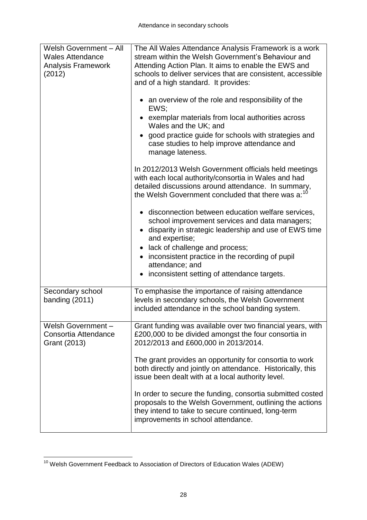| Welsh Government - All<br><b>Wales Attendance</b><br><b>Analysis Framework</b><br>(2012) | The All Wales Attendance Analysis Framework is a work<br>stream within the Welsh Government's Behaviour and<br>Attending Action Plan. It aims to enable the EWS and<br>schools to deliver services that are consistent, accessible<br>and of a high standard. It provides: |
|------------------------------------------------------------------------------------------|----------------------------------------------------------------------------------------------------------------------------------------------------------------------------------------------------------------------------------------------------------------------------|
|                                                                                          | an overview of the role and responsibility of the<br>EWS;                                                                                                                                                                                                                  |
|                                                                                          | • exemplar materials from local authorities across<br>Wales and the UK; and                                                                                                                                                                                                |
|                                                                                          | good practice guide for schools with strategies and<br>case studies to help improve attendance and<br>manage lateness.                                                                                                                                                     |
|                                                                                          | In 2012/2013 Welsh Government officials held meetings<br>with each local authority/consortia in Wales and had<br>detailed discussions around attendance. In summary,<br>the Welsh Government concluded that there was a: <sup>10</sup>                                     |
|                                                                                          | disconnection between education welfare services,<br>school improvement services and data managers;<br>disparity in strategic leadership and use of EWS time<br>and expertise;<br>lack of challenge and process;                                                           |
|                                                                                          | inconsistent practice in the recording of pupil<br>attendance; and<br>inconsistent setting of attendance targets.                                                                                                                                                          |
| Secondary school<br>banding $(2011)$                                                     | To emphasise the importance of raising attendance<br>levels in secondary schools, the Welsh Government<br>included attendance in the school banding system.                                                                                                                |
| Welsh Government-<br>Consortia Attendance<br>Grant (2013)                                | Grant funding was available over two financial years, with<br>£200,000 to be divided amongst the four consortia in<br>2012/2013 and £600,000 in 2013/2014.                                                                                                                 |
|                                                                                          | The grant provides an opportunity for consortia to work<br>both directly and jointly on attendance. Historically, this<br>issue been dealt with at a local authority level.                                                                                                |
|                                                                                          | In order to secure the funding, consortia submitted costed<br>proposals to the Welsh Government, outlining the actions<br>they intend to take to secure continued, long-term<br>improvements in school attendance.                                                         |

 $\overline{a}$ <sup>10</sup> Welsh Government Feedback to Association of Directors of Education Wales (ADEW)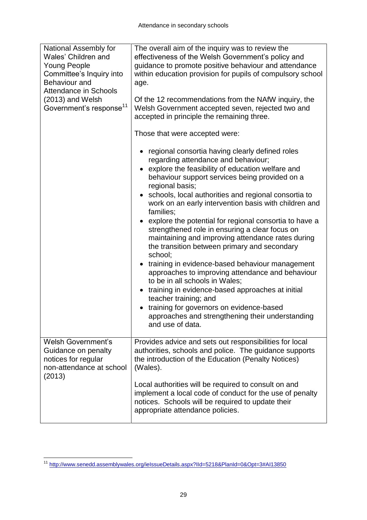| National Assembly for<br>Wales' Children and<br><b>Young People</b><br>Committee's Inquiry into<br><b>Behaviour</b> and<br><b>Attendance in Schools</b><br>(2013) and Welsh<br>Government's response <sup>11</sup> | The overall aim of the inquiry was to review the<br>effectiveness of the Welsh Government's policy and<br>guidance to promote positive behaviour and attendance<br>within education provision for pupils of compulsory school<br>age.<br>Of the 12 recommendations from the NAfW inquiry, the<br>Welsh Government accepted seven, rejected two and<br>accepted in principle the remaining three.                                                                                            |  |  |  |  |  |
|--------------------------------------------------------------------------------------------------------------------------------------------------------------------------------------------------------------------|---------------------------------------------------------------------------------------------------------------------------------------------------------------------------------------------------------------------------------------------------------------------------------------------------------------------------------------------------------------------------------------------------------------------------------------------------------------------------------------------|--|--|--|--|--|
|                                                                                                                                                                                                                    | Those that were accepted were:<br>regional consortia having clearly defined roles<br>regarding attendance and behaviour;<br>explore the feasibility of education welfare and<br>behaviour support services being provided on a<br>regional basis;<br>schools, local authorities and regional consortia to<br>work on an early intervention basis with children and<br>families;<br>explore the potential for regional consortia to have a<br>strengthened role in ensuring a clear focus on |  |  |  |  |  |
|                                                                                                                                                                                                                    | maintaining and improving attendance rates during<br>the transition between primary and secondary<br>school;<br>training in evidence-based behaviour management<br>approaches to improving attendance and behaviour<br>to be in all schools in Wales;<br>training in evidence-based approaches at initial<br>$\bullet$<br>teacher training; and<br>training for governors on evidence-based<br>approaches and strengthening their understanding<br>and use of data.                         |  |  |  |  |  |
| <b>Welsh Government's</b><br>Guidance on penalty<br>notices for regular<br>non-attendance at school<br>(2013)                                                                                                      | Provides advice and sets out responsibilities for local<br>authorities, schools and police. The guidance supports<br>the introduction of the Education (Penalty Notices)<br>(Wales).<br>Local authorities will be required to consult on and<br>implement a local code of conduct for the use of penalty<br>notices. Schools will be required to update their<br>appropriate attendance policies.                                                                                           |  |  |  |  |  |

 $\overline{a}$ <sup>11</sup> <http://www.senedd.assemblywales.org/ieIssueDetails.aspx?IId=5218&PlanId=0&Opt=3#AI13850>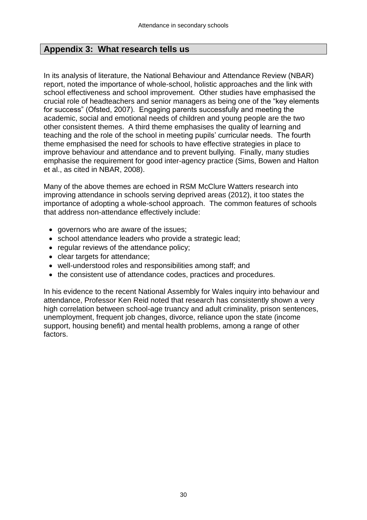## **Appendix 3: What research tells us**

In its analysis of literature, the National Behaviour and Attendance Review (NBAR) report, noted the importance of whole-school, holistic approaches and the link with school effectiveness and school improvement. Other studies have emphasised the crucial role of headteachers and senior managers as being one of the "key elements for success" (Ofsted, 2007). Engaging parents successfully and meeting the academic, social and emotional needs of children and young people are the two other consistent themes. A third theme emphasises the quality of learning and teaching and the role of the school in meeting pupils' curricular needs. The fourth theme emphasised the need for schools to have effective strategies in place to improve behaviour and attendance and to prevent bullying. Finally, many studies emphasise the requirement for good inter-agency practice (Sims, Bowen and Halton et al., as cited in NBAR, 2008).

Many of the above themes are echoed in RSM McClure Watters research into improving attendance in schools serving deprived areas (2012), it too states the importance of adopting a whole-school approach. The common features of schools that address non-attendance effectively include:

- governors who are aware of the issues;
- school attendance leaders who provide a strategic lead;
- regular reviews of the attendance policy:
- clear targets for attendance;
- well-understood roles and responsibilities among staff; and
- the consistent use of attendance codes, practices and procedures.

In his evidence to the recent National Assembly for Wales inquiry into behaviour and attendance, Professor Ken Reid noted that research has consistently shown a very high correlation between school-age truancy and adult criminality, prison sentences, unemployment, frequent job changes, divorce, reliance upon the state (income support, housing benefit) and mental health problems, among a range of other factors.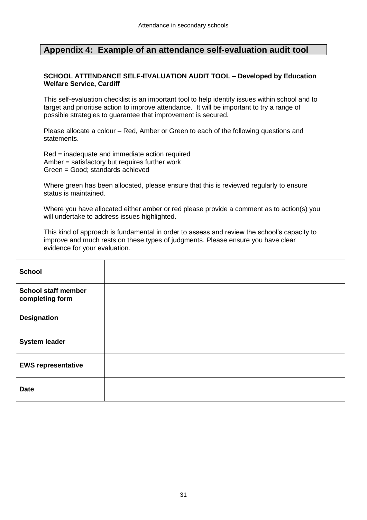#### **Appendix 4: Example of an attendance self-evaluation audit tool**

#### **SCHOOL ATTENDANCE SELF-EVALUATION AUDIT TOOL – Developed by Education Welfare Service, Cardiff**

This self-evaluation checklist is an important tool to help identify issues within school and to target and prioritise action to improve attendance. It will be important to try a range of possible strategies to guarantee that improvement is secured.

Please allocate a colour – Red, Amber or Green to each of the following questions and statements.

Red = inadequate and immediate action required Amber = satisfactory but requires further work Green = Good; standards achieved

Where green has been allocated, please ensure that this is reviewed regularly to ensure status is maintained.

Where you have allocated either amber or red please provide a comment as to action(s) you will undertake to address issues highlighted.

This kind of approach is fundamental in order to assess and review the school's capacity to improve and much rests on these types of judgments. Please ensure you have clear evidence for your evaluation.

| <b>School</b>                                 |  |
|-----------------------------------------------|--|
| <b>School staff member</b><br>completing form |  |
| <b>Designation</b>                            |  |
| <b>System leader</b>                          |  |
| <b>EWS representative</b>                     |  |
| <b>Date</b>                                   |  |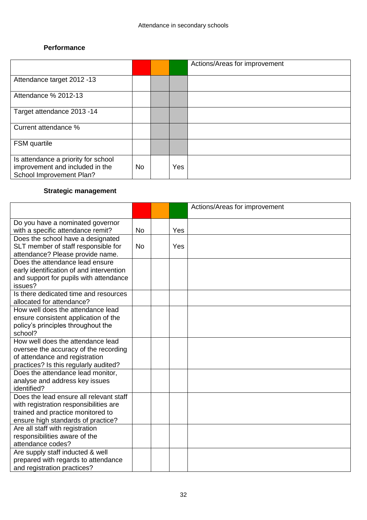#### **Performance**

|                                                                                                    |           |     | Actions/Areas for improvement |
|----------------------------------------------------------------------------------------------------|-----------|-----|-------------------------------|
| Attendance target 2012 -13                                                                         |           |     |                               |
| Attendance % 2012-13                                                                               |           |     |                               |
| Target attendance 2013 -14                                                                         |           |     |                               |
| Current attendance %                                                                               |           |     |                               |
| <b>FSM</b> quartile                                                                                |           |     |                               |
| Is attendance a priority for school<br>improvement and included in the<br>School Improvement Plan? | <b>No</b> | Yes |                               |

## **Strategic management**

|                                                                             |           |     | Actions/Areas for improvement |
|-----------------------------------------------------------------------------|-----------|-----|-------------------------------|
| Do you have a nominated governor                                            |           |     |                               |
| with a specific attendance remit?                                           | <b>No</b> | Yes |                               |
| Does the school have a designated                                           |           |     |                               |
| SLT member of staff responsible for                                         | <b>No</b> | Yes |                               |
| attendance? Please provide name.                                            |           |     |                               |
| Does the attendance lead ensure                                             |           |     |                               |
| early identification of and intervention                                    |           |     |                               |
| and support for pupils with attendance                                      |           |     |                               |
| issues?                                                                     |           |     |                               |
| Is there dedicated time and resources                                       |           |     |                               |
| allocated for attendance?                                                   |           |     |                               |
| How well does the attendance lead                                           |           |     |                               |
| ensure consistent application of the                                        |           |     |                               |
| policy's principles throughout the                                          |           |     |                               |
| school?                                                                     |           |     |                               |
| How well does the attendance lead                                           |           |     |                               |
| oversee the accuracy of the recording                                       |           |     |                               |
| of attendance and registration                                              |           |     |                               |
| practices? Is this regularly audited?                                       |           |     |                               |
| Does the attendance lead monitor,                                           |           |     |                               |
| analyse and address key issues                                              |           |     |                               |
| identified?<br>Does the lead ensure all relevant staff                      |           |     |                               |
|                                                                             |           |     |                               |
| with registration responsibilities are<br>trained and practice monitored to |           |     |                               |
| ensure high standards of practice?                                          |           |     |                               |
| Are all staff with registration                                             |           |     |                               |
| responsibilities aware of the                                               |           |     |                               |
| attendance codes?                                                           |           |     |                               |
| Are supply staff inducted & well                                            |           |     |                               |
| prepared with regards to attendance                                         |           |     |                               |
| and registration practices?                                                 |           |     |                               |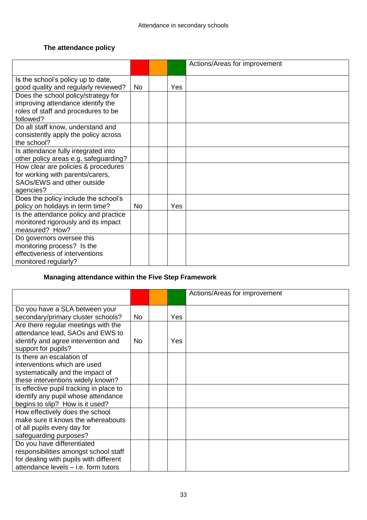## **The attendance policy**

|                                                                                                                              |           |     | Actions/Areas for improvement |
|------------------------------------------------------------------------------------------------------------------------------|-----------|-----|-------------------------------|
| Is the school's policy up to date,<br>good quality and regularly reviewed?                                                   | <b>No</b> | Yes |                               |
| Does the school policy/strategy for<br>improving attendance identify the<br>roles of staff and procedures to be<br>followed? |           |     |                               |
| Do all staff know, understand and<br>consistently apply the policy across<br>the school?                                     |           |     |                               |
| Is attendance fully integrated into<br>other policy areas e.g. safeguarding?                                                 |           |     |                               |
| How clear are policies & procedures<br>for working with parents/carers,<br>SAOs/EWS and other outside<br>agencies?           |           |     |                               |
| Does the policy include the school's<br>policy on holidays in term time?                                                     | No.       | Yes |                               |
| Is the attendance policy and practice<br>monitored rigorously and its impact<br>measured? How?                               |           |     |                               |
| Do governors oversee this<br>monitoring process? Is the<br>effectiveness of interventions<br>monitored regularly?            |           |     |                               |

## **Managing attendance within the Five Step Framework**

|                                         |           |     | Actions/Areas for improvement |
|-----------------------------------------|-----------|-----|-------------------------------|
|                                         |           |     |                               |
| Do you have a SLA between your          |           |     |                               |
| secondary/primary cluster schools?      | No.       | Yes |                               |
| Are there regular meetings with the     |           |     |                               |
| attendance lead, SAOs and EWS to        |           |     |                               |
| identify and agree intervention and     | <b>No</b> | Yes |                               |
| support for pupils?                     |           |     |                               |
| Is there an escalation of               |           |     |                               |
| interventions which are used            |           |     |                               |
| systematically and the impact of        |           |     |                               |
| these interventions widely known?       |           |     |                               |
| Is effective pupil tracking in place to |           |     |                               |
| identify any pupil whose attendance     |           |     |                               |
| begins to slip? How is it used?         |           |     |                               |
| How effectively does the school         |           |     |                               |
| make sure it knows the whereabouts      |           |     |                               |
| of all pupils every day for             |           |     |                               |
| safeguarding purposes?                  |           |     |                               |
| Do you have differentiated              |           |     |                               |
| responsibilities amongst school staff   |           |     |                               |
| for dealing with pupils with different  |           |     |                               |
| attendance levels - i.e. form tutors    |           |     |                               |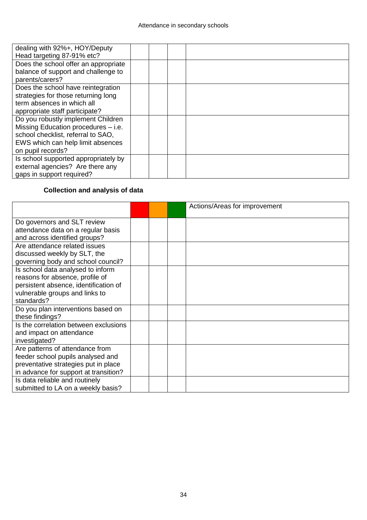| dealing with 92%+, HOY/Deputy        |  |  |
|--------------------------------------|--|--|
| Head targeting 87-91% etc?           |  |  |
| Does the school offer an appropriate |  |  |
| balance of support and challenge to  |  |  |
| parents/carers?                      |  |  |
| Does the school have reintegration   |  |  |
| strategies for those returning long  |  |  |
| term absences in which all           |  |  |
| appropriate staff participate?       |  |  |
| Do you robustly implement Children   |  |  |
| Missing Education procedures - i.e.  |  |  |
| school checklist, referral to SAO,   |  |  |
| EWS which can help limit absences    |  |  |
| on pupil records?                    |  |  |
| Is school supported appropriately by |  |  |
| external agencies? Are there any     |  |  |
| gaps in support required?            |  |  |

## **Collection and analysis of data**

|                                       |  | Actions/Areas for improvement |
|---------------------------------------|--|-------------------------------|
|                                       |  |                               |
| Do governors and SLT review           |  |                               |
| attendance data on a regular basis    |  |                               |
| and across identified groups?         |  |                               |
| Are attendance related issues         |  |                               |
| discussed weekly by SLT, the          |  |                               |
| governing body and school council?    |  |                               |
| Is school data analysed to inform     |  |                               |
| reasons for absence, profile of       |  |                               |
| persistent absence, identification of |  |                               |
| vulnerable groups and links to        |  |                               |
| standards?                            |  |                               |
| Do you plan interventions based on    |  |                               |
| these findings?                       |  |                               |
| Is the correlation between exclusions |  |                               |
| and impact on attendance              |  |                               |
| investigated?                         |  |                               |
| Are patterns of attendance from       |  |                               |
| feeder school pupils analysed and     |  |                               |
| preventative strategies put in place  |  |                               |
| in advance for support at transition? |  |                               |
| Is data reliable and routinely        |  |                               |
| submitted to LA on a weekly basis?    |  |                               |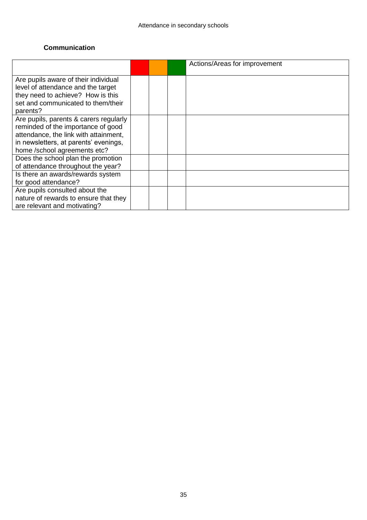#### **Communication**

|                                        |  | Actions/Areas for improvement |
|----------------------------------------|--|-------------------------------|
|                                        |  |                               |
| Are pupils aware of their individual   |  |                               |
| level of attendance and the target     |  |                               |
| they need to achieve? How is this      |  |                               |
| set and communicated to them/their     |  |                               |
| parents?                               |  |                               |
| Are pupils, parents & carers regularly |  |                               |
| reminded of the importance of good     |  |                               |
| attendance, the link with attainment,  |  |                               |
| in newsletters, at parents' evenings,  |  |                               |
| home /school agreements etc?           |  |                               |
| Does the school plan the promotion     |  |                               |
| of attendance throughout the year?     |  |                               |
| Is there an awards/rewards system      |  |                               |
| for good attendance?                   |  |                               |
| Are pupils consulted about the         |  |                               |
| nature of rewards to ensure that they  |  |                               |
| are relevant and motivating?           |  |                               |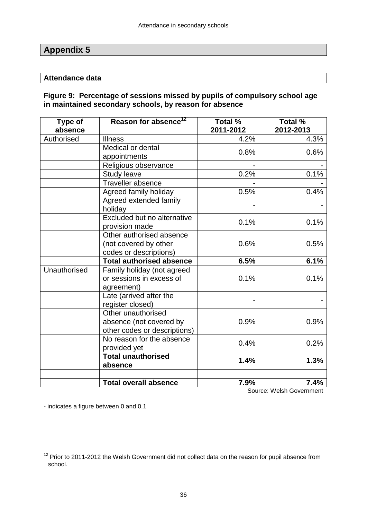## **Appendix 5**

#### **Attendance data**

#### **Figure 9: Percentage of sessions missed by pupils of compulsory school age in maintained secondary schools, by reason for absence**

| Type of<br>absence | Reason for absence <sup>12</sup>                                              | Total %<br>2011-2012 | Total %<br>2012-2013 |
|--------------------|-------------------------------------------------------------------------------|----------------------|----------------------|
| Authorised         | <b>Illness</b>                                                                | 4.2%                 | 4.3%                 |
|                    | Medical or dental<br>appointments                                             | 0.8%                 | 0.6%                 |
|                    | Religious observance                                                          |                      |                      |
|                    | <b>Study leave</b>                                                            | 0.2%                 | 0.1%                 |
|                    | Traveller absence                                                             |                      |                      |
|                    | Agreed family holiday                                                         | 0.5%                 | 0.4%                 |
|                    | Agreed extended family<br>holiday                                             |                      |                      |
|                    | Excluded but no alternative<br>provision made                                 | 0.1%                 | 0.1%                 |
|                    | Other authorised absence<br>(not covered by other<br>codes or descriptions)   | 0.6%                 | 0.5%                 |
|                    | <b>Total authorised absence</b>                                               | 6.5%                 | 6.1%                 |
| Unauthorised       | Family holiday (not agreed<br>or sessions in excess of<br>agreement)          | 0.1%                 | 0.1%                 |
|                    | Late (arrived after the<br>register closed)                                   |                      |                      |
|                    | Other unauthorised<br>absence (not covered by<br>other codes or descriptions) | 0.9%                 | 0.9%                 |
|                    | No reason for the absence<br>provided yet                                     | 0.4%                 | 0.2%                 |
|                    | <b>Total unauthorised</b><br>absence                                          | 1.4%                 | 1.3%                 |
|                    | <b>Total overall absence</b>                                                  | 7.9%                 | 7.4%                 |

Source: Welsh Government

- indicates a figure between 0 and 0.1

 $\overline{a}$ 

 $12$  Prior to 2011-2012 the Welsh Government did not collect data on the reason for pupil absence from school.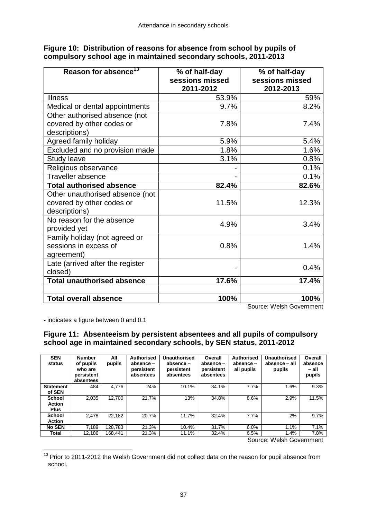| Reason for absence <sup>13</sup>  | % of half-day<br>sessions missed<br>2011-2012 | % of half-day<br>sessions missed<br>2012-2013 |
|-----------------------------------|-----------------------------------------------|-----------------------------------------------|
| <b>Illness</b>                    | 53.9%                                         | 59%                                           |
| Medical or dental appointments    | 9.7%                                          | 8.2%                                          |
| Other authorised absence (not     |                                               |                                               |
| covered by other codes or         | 7.8%                                          | 7.4%                                          |
| descriptions)                     |                                               |                                               |
| Agreed family holiday             | 5.9%                                          | 5.4%                                          |
| Excluded and no provision made    | 1.8%                                          | 1.6%                                          |
| <b>Study leave</b>                | 3.1%                                          | 0.8%                                          |
| Religious observance              |                                               | 0.1%                                          |
| Traveller absence                 |                                               | 0.1%                                          |
| <b>Total authorised absence</b>   | 82.4%                                         | 82.6%                                         |
| Other unauthorised absence (not   |                                               |                                               |
| covered by other codes or         | 11.5%                                         | 12.3%                                         |
| descriptions)                     |                                               |                                               |
| No reason for the absence         | 4.9%                                          | 3.4%                                          |
| provided yet                      |                                               |                                               |
| Family holiday (not agreed or     |                                               |                                               |
| sessions in excess of             | 0.8%                                          | 1.4%                                          |
| agreement)                        |                                               |                                               |
| Late (arrived after the register  |                                               | 0.4%                                          |
| closed)                           |                                               |                                               |
| <b>Total unauthorised absence</b> | 17.6%                                         | 17.4%                                         |
|                                   |                                               |                                               |
| <b>Total overall absence</b>      | 100%                                          | 100%                                          |

**Figure 10: Distribution of reasons for absence from school by pupils of compulsory school age in maintained secondary schools, 2011-2013**

Source: Welsh Government

- indicates a figure between 0 and 0.1

#### **Figure 11: Absenteeism by persistent absentees and all pupils of compulsory school age in maintained secondary schools, by SEN status, 2011-2012**

| <b>SEN</b><br>status | <b>Number</b><br>of pupils<br>who are<br>persistent<br>absentees | All<br>pupils | <b>Authorised</b><br>absence -<br>persistent<br>absentees | Unauthorised<br>absence -<br>persistent<br>absentees | Overall<br>absence -<br>persistent<br>absentees | <b>Authorised</b><br>absence -<br>all pupils | <b>Unauthorised</b><br>absence - all<br>pupils | Overall<br>absence<br>– all<br>pupils |
|----------------------|------------------------------------------------------------------|---------------|-----------------------------------------------------------|------------------------------------------------------|-------------------------------------------------|----------------------------------------------|------------------------------------------------|---------------------------------------|
| <b>Statement</b>     | 484                                                              | 4,776         | 24%                                                       | 10.1%                                                | 34.1%                                           | 7.7%                                         | 1.6%                                           | 9.3%                                  |
| of SEN               |                                                                  |               |                                                           |                                                      |                                                 |                                              |                                                |                                       |
| <b>School</b>        | 2.035                                                            | 12.700        | 21.7%                                                     | 13%                                                  | 34.8%                                           | 8.6%                                         | 2.9%                                           | 11.5%                                 |
| <b>Action</b>        |                                                                  |               |                                                           |                                                      |                                                 |                                              |                                                |                                       |
| <b>Plus</b>          |                                                                  |               |                                                           |                                                      |                                                 |                                              |                                                |                                       |
| <b>School</b>        | 2.478                                                            | 22,182        | 20.7%                                                     | 11.7%                                                | 32.4%                                           | 7.7%                                         | 2%                                             | 9.7%                                  |
| <b>Action</b>        |                                                                  |               |                                                           |                                                      |                                                 |                                              |                                                |                                       |
| <b>No SEN</b>        | 7,189                                                            | 128,783       | 21.3%                                                     | 10.4%                                                | 31.7%                                           | 6.0%                                         | 1.1%                                           | 7.1%                                  |
| Total                | 12.186                                                           | 168.441       | 21.3%                                                     | 11.1%                                                | 32.4%                                           | 6.5%                                         | 1.4%                                           | 7.8%                                  |

Source: Welsh Government

 $\overline{a}$  $13$  Prior to 2011-2012 the Welsh Government did not collect data on the reason for pupil absence from school.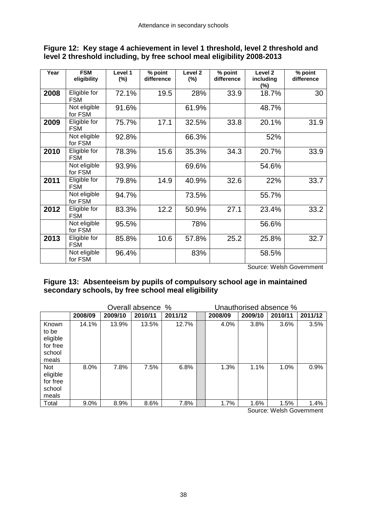| Year | <b>FSM</b><br>eligibility  | Level 1<br>$(\%)$ | % point<br>difference | Level <sub>2</sub><br>$(\%)$ | % point<br>difference | Level 2<br>including<br>$(\%)$ | % point<br>difference |
|------|----------------------------|-------------------|-----------------------|------------------------------|-----------------------|--------------------------------|-----------------------|
| 2008 | Eligible for<br><b>FSM</b> | 72.1%             | 19.5                  | 28%                          | 33.9                  | 18.7%                          | 30                    |
|      | Not eligible<br>for FSM    | 91.6%             |                       | 61.9%                        |                       | 48.7%                          |                       |
| 2009 | Eligible for<br><b>FSM</b> | 75.7%             | 17.1                  | 32.5%                        | 33.8                  | 20.1%                          | 31.9                  |
|      | Not eligible<br>for FSM    | 92.8%             |                       | 66.3%                        |                       | 52%                            |                       |
| 2010 | Eligible for<br><b>FSM</b> | 78.3%             | 15.6                  | 35.3%                        | 34.3                  | 20.7%                          | 33.9                  |
|      | Not eligible<br>for FSM    | 93.9%             |                       | 69.6%                        |                       | 54.6%                          |                       |
| 2011 | Eligible for<br><b>FSM</b> | 79.8%             | 14.9                  | 40.9%                        | 32.6                  | 22%                            | 33.7                  |
|      | Not eligible<br>for FSM    | 94.7%             |                       | 73.5%                        |                       | 55.7%                          |                       |
| 2012 | Eligible for<br><b>FSM</b> | 83.3%             | 12.2                  | 50.9%                        | 27.1                  | 23.4%                          | 33.2                  |
|      | Not eligible<br>for FSM    | 95.5%             |                       | 78%                          |                       | 56.6%                          |                       |
| 2013 | Eligible for<br><b>FSM</b> | 85.8%             | 10.6                  | 57.8%                        | 25.2                  | 25.8%                          | 32.7                  |
|      | Not eligible<br>for FSM    | 96.4%             |                       | 83%                          |                       | 58.5%                          |                       |

#### **Figure 12: Key stage 4 achievement in level 1 threshold, level 2 threshold and level 2 threshold including, by free school meal eligibility 2008-2013**

Source: Welsh Government

#### **Figure 13: Absenteeism by pupils of compulsory school age in maintained secondary schools, by free school meal eligibility**

|                                                           | Overall absence % |         |         |         |  | Unauthorised absence % |         |         |         |
|-----------------------------------------------------------|-------------------|---------|---------|---------|--|------------------------|---------|---------|---------|
|                                                           | 2008/09           | 2009/10 | 2010/11 | 2011/12 |  | 2008/09                | 2009/10 | 2010/11 | 2011/12 |
| Known<br>to be<br>eligible<br>for free<br>school<br>meals | 14.1%             | 13.9%   | 13.5%   | 12.7%   |  | 4.0%                   | 3.8%    | 3.6%    | 3.5%    |
| <b>Not</b><br>eligible<br>for free<br>school<br>meals     | 8.0%              | 7.8%    | 7.5%    | 6.8%    |  | 1.3%                   | 1.1%    | 1.0%    | 0.9%    |
| Total                                                     | 9.0%              | 8.9%    | 8.6%    | 7.8%    |  | 1.7%                   | 1.6%    | 1.5%    | 1.4%    |

Source: Welsh Government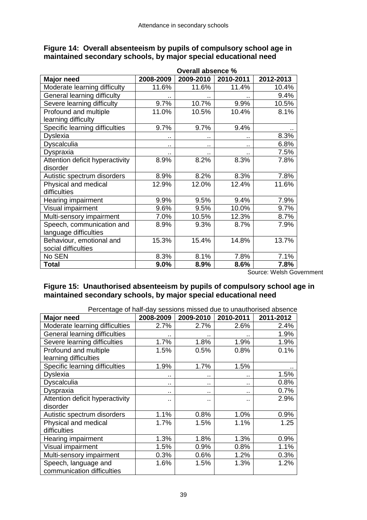|                                 | Overall absence % |           |           |           |  |  |  |  |
|---------------------------------|-------------------|-----------|-----------|-----------|--|--|--|--|
| Major need                      | 2008-2009         | 2009-2010 | 2010-2011 | 2012-2013 |  |  |  |  |
| Moderate learning difficulty    | 11.6%             | 11.6%     | 11.4%     | 10.4%     |  |  |  |  |
| General learning difficulty     |                   |           |           | 9.4%      |  |  |  |  |
| Severe learning difficulty      | 9.7%              | 10.7%     | 9.9%      | 10.5%     |  |  |  |  |
| Profound and multiple           | 11.0%             | 10.5%     | 10.4%     | 8.1%      |  |  |  |  |
| learning difficulty             |                   |           |           |           |  |  |  |  |
| Specific learning difficulties  | 9.7%              | 9.7%      | 9.4%      |           |  |  |  |  |
| <b>Dyslexia</b>                 |                   | . .       | ٠.        | 8.3%      |  |  |  |  |
| Dyscalculia                     |                   | ٠.        | ٠.        | 6.8%      |  |  |  |  |
| <b>Dyspraxia</b>                |                   |           | ٠.        | 7.5%      |  |  |  |  |
| Attention deficit hyperactivity | 8.9%              | 8.2%      | 8.3%      | 7.8%      |  |  |  |  |
| disorder                        |                   |           |           |           |  |  |  |  |
| Autistic spectrum disorders     | 8.9%              | 8.2%      | 8.3%      | 7.8%      |  |  |  |  |
| Physical and medical            | 12.9%             | 12.0%     | 12.4%     | 11.6%     |  |  |  |  |
| difficulties                    |                   |           |           |           |  |  |  |  |
| Hearing impairment              | 9.9%              | 9.5%      | 9.4%      | 7.9%      |  |  |  |  |
| Visual impairment               | 9.6%              | 9.5%      | 10.0%     | 9.7%      |  |  |  |  |
| Multi-sensory impairment        | 7.0%              | 10.5%     | 12.3%     | 8.7%      |  |  |  |  |
| Speech, communication and       | 8.9%              | 9.3%      | 8.7%      | 7.9%      |  |  |  |  |
| language difficulties           |                   |           |           |           |  |  |  |  |
| Behaviour, emotional and        | 15.3%             | 15.4%     | 14.8%     | 13.7%     |  |  |  |  |
| social difficulties             |                   |           |           |           |  |  |  |  |
| No SEN                          | 8.3%              | 8.1%      | 7.8%      | 7.1%      |  |  |  |  |
| <b>Total</b>                    | 9.0%              | 8.9%      | 8.6%      | 7.8%      |  |  |  |  |

#### **Figure 14: Overall absenteeism by pupils of compulsory school age in maintained secondary schools, by major special educational need**

Source: Welsh Government

#### **Figure 15: Unauthorised absenteeism by pupils of compulsory school age in maintained secondary schools, by major special educational need**

Percentage of half-day sessions missed due to unauthorised absence

| i oroomago or nail aay oooolono mioood dao to andarior<br><b>Major need</b> | 2008-2009 | 2009-2010 | 2010-2011 | 2011-2012 |
|-----------------------------------------------------------------------------|-----------|-----------|-----------|-----------|
| Moderate learning difficulties                                              | 2.7%      | 2.7%      | 2.6%      | 2.4%      |
| <b>General learning difficulties</b>                                        |           | . .       |           | 1.9%      |
| Severe learning difficulties                                                | 1.7%      | 1.8%      | 1.9%      | 1.9%      |
| Profound and multiple                                                       | 1.5%      | 0.5%      | 0.8%      | 0.1%      |
| learning difficulties                                                       |           |           |           |           |
| Specific learning difficulties                                              | 1.9%      | 1.7%      | 1.5%      |           |
| <b>Dyslexia</b>                                                             |           | . .       |           | 1.5%      |
| Dyscalculia                                                                 |           | $\sim$    | $\sim$    | 0.8%      |
| Dyspraxia                                                                   | $\cdot$ . | $\cdot$ . | $\cdot$ . | 0.7%      |
| Attention deficit hyperactivity                                             | . .       | . .       |           | 2.9%      |
| disorder                                                                    |           |           |           |           |
| Autistic spectrum disorders                                                 | 1.1%      | 0.8%      | 1.0%      | 0.9%      |
| Physical and medical                                                        | 1.7%      | 1.5%      | 1.1%      | 1.25      |
| difficulties                                                                |           |           |           |           |
| Hearing impairment                                                          | 1.3%      | 1.8%      | 1.3%      | 0.9%      |
| Visual impairment                                                           | 1.5%      | 0.9%      | 0.8%      | 1.1%      |
| Multi-sensory impairment                                                    | 0.3%      | 0.6%      | 1.2%      | 0.3%      |
| Speech, language and                                                        | 1.6%      | 1.5%      | 1.3%      | 1.2%      |
| communication difficulties                                                  |           |           |           |           |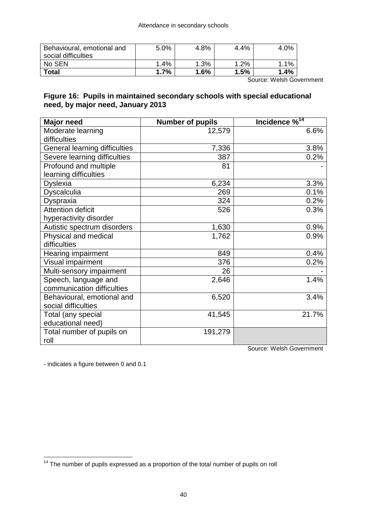| Behavioural, emotional and<br>social difficulties | 5.0% | 4.8% | 4.4%   | 4.0% |
|---------------------------------------------------|------|------|--------|------|
| No SEN                                            | 1.4% | 1.3% | $.2\%$ | 1.1% |
| Total                                             | 1.7% | 1.6% | 1.5%   | 1.4% |

Source: Welsh Government

#### **Figure 16: Pupils in maintained secondary schools with special educational need, by major need, January 2013**

| <b>Major need</b>             | <b>Number of pupils</b> | Incidence % <sup>14</sup> |
|-------------------------------|-------------------------|---------------------------|
| Moderate learning             | 12,579                  | 6.6%                      |
| difficulties                  |                         |                           |
| General learning difficulties | 7,336                   | 3.8%                      |
| Severe learning difficulties  | 387                     | 0.2%                      |
| Profound and multiple         | 81                      |                           |
| learning difficulties         |                         |                           |
| <b>Dyslexia</b>               | 6,234                   | 3.3%                      |
| Dyscalculia                   | 269                     | 0.1%                      |
| Dyspraxia                     | 324                     | 0.2%                      |
| Attention deficit             | 526                     | 0.3%                      |
| hyperactivity disorder        |                         |                           |
| Autistic spectrum disorders   | 1,630                   | 0.9%                      |
| Physical and medical          | 1,762                   | 0.9%                      |
| difficulties                  |                         |                           |
| Hearing impairment            | 849                     | 0.4%                      |
| Visual impairment             | 376                     | 0.2%                      |
| Multi-sensory impairment      | 26                      |                           |
| Speech, language and          | 2,646                   | 1.4%                      |
| communication difficulties    |                         |                           |
| Behavioural, emotional and    | 6,520                   | 3.4%                      |
| social difficulties           |                         |                           |
| Total (any special            | 41,545                  | 21.7%                     |
| educational need)             |                         |                           |
| Total number of pupils on     | 191,279                 |                           |
| roll                          |                         |                           |

Source: Welsh Government

- indicates a figure between 0 and 0.1

 $\overline{a}$ 

 $14$  The number of pupils expressed as a proportion of the total number of pupils on roll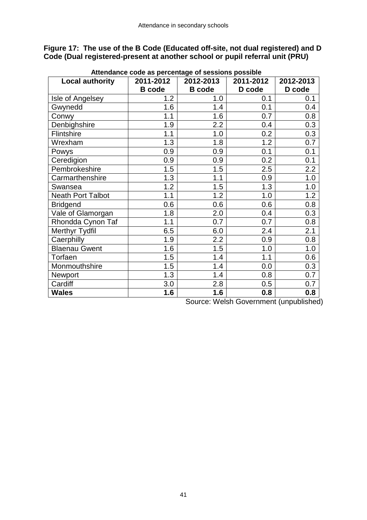**Figure 17: The use of the B Code (Educated off-site, not dual registered) and D Code (Dual registered-present at another school or pupil referral unit (PRU)**

| <b>Local authority</b>   | 2011-2012     | 2012-2013     | 2011-2012 | 2012-2013 |
|--------------------------|---------------|---------------|-----------|-----------|
|                          | <b>B</b> code | <b>B</b> code | D code    | D code    |
| Isle of Angelsey         | 1.2           | 1.0           | 0.1       | 0.1       |
| Gwynedd                  | 1.6           | 1.4           | 0.1       | 0.4       |
| Conwy                    | 1.1           | 1.6           | 0.7       | 0.8       |
| Denbighshire             | 1.9           | 2.2           | 0.4       | 0.3       |
| Flintshire               | 1.1           | 1.0           | 0.2       | 0.3       |
| Wrexham                  | 1.3           | 1.8           | 1.2       | 0.7       |
| Powys                    | 0.9           | 0.9           | 0.1       | 0.1       |
| Ceredigion               | 0.9           | 0.9           | 0.2       | 0.1       |
| Pembrokeshire            | 1.5           | 1.5           | 2.5       | 2.2       |
| Carmarthenshire          | 1.3           | 1.1           | 0.9       | 1.0       |
| Swansea                  | 1.2           | 1.5           | 1.3       | 1.0       |
| <b>Neath Port Talbot</b> | 1.1           | 1.2           | 1.0       | 1.2       |
| <b>Bridgend</b>          | 0.6           | 0.6           | 0.6       | 0.8       |
| Vale of Glamorgan        | 1.8           | 2.0           | 0.4       | 0.3       |
| Rhondda Cynon Taf        | 1.1           | 0.7           | 0.7       | 0.8       |
| <b>Merthyr Tydfil</b>    | 6.5           | 6.0           | 2.4       | 2.1       |
| Caerphilly               | 1.9           | 2.2           | 0.9       | 0.8       |
| <b>Blaenau Gwent</b>     | 1.6           | 1.5           | 1.0       | 1.0       |
| Torfaen                  | 1.5           | 1.4           | 1.1       | 0.6       |
| Monmouthshire            | 1.5           | 1.4           | 0.0       | 0.3       |
| Newport                  | 1.3           | 1.4           | 0.8       | 0.7       |
| Cardiff                  | 3.0           | 2.8           | 0.5       | 0.7       |
| <b>Wales</b>             | 1.6           | 1.6           | 0.8       | 0.8       |

 **Attendance code as percentage of sessions possible**

Source: Welsh Government (unpublished)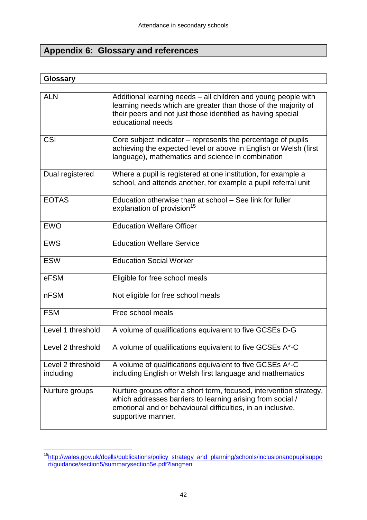## **Appendix 6: Glossary and references**

#### **Glossary**

| <b>ALN</b>                     | Additional learning needs - all children and young people with<br>learning needs which are greater than those of the majority of<br>their peers and not just those identified as having special<br>educational needs  |
|--------------------------------|-----------------------------------------------------------------------------------------------------------------------------------------------------------------------------------------------------------------------|
| CSI                            | Core subject indicator – represents the percentage of pupils<br>achieving the expected level or above in English or Welsh (first<br>language), mathematics and science in combination                                 |
| Dual registered                | Where a pupil is registered at one institution, for example a<br>school, and attends another, for example a pupil referral unit                                                                                       |
| <b>EOTAS</b>                   | Education otherwise than at school - See link for fuller<br>explanation of provision <sup>15</sup>                                                                                                                    |
| <b>EWO</b>                     | <b>Education Welfare Officer</b>                                                                                                                                                                                      |
| <b>EWS</b>                     | <b>Education Welfare Service</b>                                                                                                                                                                                      |
| <b>ESW</b>                     | <b>Education Social Worker</b>                                                                                                                                                                                        |
| eFSM                           | Eligible for free school meals                                                                                                                                                                                        |
| <b>nFSM</b>                    | Not eligible for free school meals                                                                                                                                                                                    |
| <b>FSM</b>                     | Free school meals                                                                                                                                                                                                     |
| Level 1 threshold              | A volume of qualifications equivalent to five GCSEs D-G                                                                                                                                                               |
| Level 2 threshold              | A volume of qualifications equivalent to five GCSEs A*-C                                                                                                                                                              |
| Level 2 threshold<br>including | A volume of qualifications equivalent to five GCSEs A*-C<br>including English or Welsh first language and mathematics                                                                                                 |
| Nurture groups                 | Nurture groups offer a short term, focused, intervention strategy,<br>which addresses barriers to learning arising from social /<br>emotional and or behavioural difficulties, in an inclusive,<br>supportive manner. |

 $\overline{a}$ <sup>15</sup>[http://wales.gov.uk/dcells/publications/policy\\_strategy\\_and\\_planning/schools/inclusionandpupilsuppo](http://wales.gov.uk/dcells/publications/policy_strategy_and_planning/schools/inclusionandpupilsupport/guidance/section5/summarysection5e.pdf?lang=en) [rt/guidance/section5/summarysection5e.pdf?lang=en](http://wales.gov.uk/dcells/publications/policy_strategy_and_planning/schools/inclusionandpupilsupport/guidance/section5/summarysection5e.pdf?lang=en)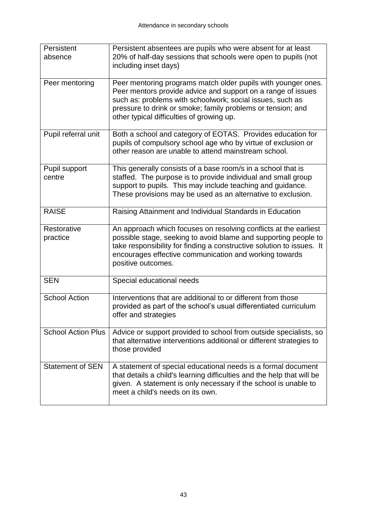| Persistent<br>absence     | Persistent absentees are pupils who were absent for at least<br>20% of half-day sessions that schools were open to pupils (not<br>including inset days)                                                                                                                                                |
|---------------------------|--------------------------------------------------------------------------------------------------------------------------------------------------------------------------------------------------------------------------------------------------------------------------------------------------------|
| Peer mentoring            | Peer mentoring programs match older pupils with younger ones.<br>Peer mentors provide advice and support on a range of issues<br>such as: problems with schoolwork; social issues, such as<br>pressure to drink or smoke; family problems or tension; and<br>other typical difficulties of growing up. |
| Pupil referral unit       | Both a school and category of EOTAS. Provides education for<br>pupils of compulsory school age who by virtue of exclusion or<br>other reason are unable to attend mainstream school.                                                                                                                   |
| Pupil support<br>centre   | This generally consists of a base room/s in a school that is<br>staffed. The purpose is to provide individual and small group<br>support to pupils. This may include teaching and guidance.<br>These provisions may be used as an alternative to exclusion.                                            |
| <b>RAISE</b>              | Raising Attainment and Individual Standards in Education                                                                                                                                                                                                                                               |
| Restorative<br>practice   | An approach which focuses on resolving conflicts at the earliest<br>possible stage, seeking to avoid blame and supporting people to<br>take responsibility for finding a constructive solution to issues. It<br>encourages effective communication and working towards<br>positive outcomes.           |
| <b>SEN</b>                | Special educational needs                                                                                                                                                                                                                                                                              |
| <b>School Action</b>      | Interventions that are additional to or different from those<br>provided as part of the school's usual differentiated curriculum<br>offer and strategies                                                                                                                                               |
| <b>School Action Plus</b> | Advice or support provided to school from outside specialists, so<br>that alternative interventions additional or different strategies to<br>those provided                                                                                                                                            |
| <b>Statement of SEN</b>   | A statement of special educational needs is a formal document<br>that details a child's learning difficulties and the help that will be<br>given. A statement is only necessary if the school is unable to<br>meet a child's needs on its own.                                                         |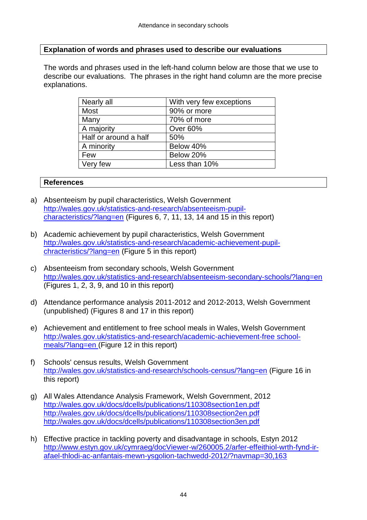#### **Explanation of words and phrases used to describe our evaluations**

The words and phrases used in the left-hand column below are those that we use to describe our evaluations. The phrases in the right hand column are the more precise explanations.

| Nearly all            | With very few exceptions |
|-----------------------|--------------------------|
| <b>Most</b>           | 90% or more              |
| Many                  | 70% of more              |
| A majority            | Over 60%                 |
| Half or around a half | 50%                      |
| A minority            | Below 40%                |
| Few                   | Below 20%                |
| Very few              | Less than 10%            |

#### **References**

- a) Absenteeism by pupil characteristics, Welsh Government [http://wales.gov.uk/statistics-and-research/absenteeism-pupil](http://wales.gov.uk/statistics-and-research/absenteeism-pupil-characteristics/?lang=en)[characteristics/?lang=en](http://wales.gov.uk/statistics-and-research/absenteeism-pupil-characteristics/?lang=en) (Figures 6, 7, 11, 13, 14 and 15 in this report)
- b) Academic achievement by pupil characteristics, Welsh Government [http://wales.gov.uk/statistics-and-research/academic-achievement-pupil](http://wales.gov.uk/statistics-and-research/academic-achievement-pupil-chracteristics/?lang=en)[chracteristics/?lang=en](http://wales.gov.uk/statistics-and-research/academic-achievement-pupil-chracteristics/?lang=en) (Figure 5 in this report)
- c) Absenteeism from secondary schools, Welsh Government <http://wales.gov.uk/statistics-and-research/absenteeism-secondary-schools/?lang=en> (Figures 1, 2, 3, 9, and 10 in this report)
- d) Attendance performance analysis 2011-2012 and 2012-2013, Welsh Government (unpublished) (Figures 8 and 17 in this report)
- e) Achievement and entitlement to free school meals in Wales, Welsh Government [http://wales.gov.uk/statistics-and-research/academic-achievement-free school](http://wales.gov.uk/statistics-and-research/academic-achievement-free-school-meals/?lang=en)[meals/?lang=en](http://wales.gov.uk/statistics-and-research/academic-achievement-free-school-meals/?lang=en) (Figure 12 in this report)
- f) Schools' census results, Welsh Government <http://wales.gov.uk/statistics-and-research/schools-census/?lang=en> (Figure 16 in this report)
- g) All Wales Attendance Analysis Framework, Welsh Government, 2012 <http://wales.gov.uk/docs/dcells/publications/110308section1en.pdf> <http://wales.gov.uk/docs/dcells/publications/110308section2en.pdf> <http://wales.gov.uk/docs/dcells/publications/110308section3en.pdf>
- h) Effective practice in tackling poverty and disadvantage in schools, Estyn 2012 [http://www.estyn.gov.uk/cymraeg/docViewer-w/260005.2/arfer-effeithiol-wrth-fynd-ir](http://www.estyn.gov.uk/cymraeg/docViewer-w/260005.2/arfer-effeithiol-wrth-fynd-ir-afael-thlodi-ac-anfantais-mewn-ysgolion-tachwedd-2012/?navmap=30,163)[afael-thlodi-ac-anfantais-mewn-ysgolion-tachwedd-2012/?navmap=30,163](http://www.estyn.gov.uk/cymraeg/docViewer-w/260005.2/arfer-effeithiol-wrth-fynd-ir-afael-thlodi-ac-anfantais-mewn-ysgolion-tachwedd-2012/?navmap=30,163)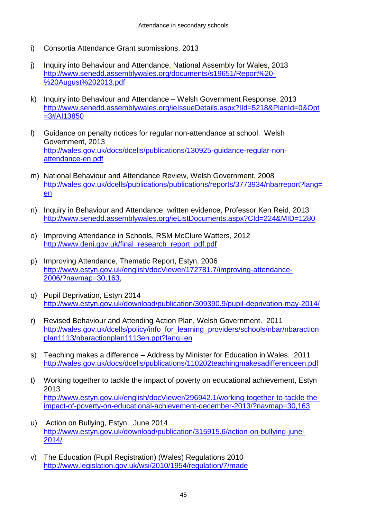- i) Consortia Attendance Grant submissions. 2013
- j) Inquiry into Behaviour and Attendance, National Assembly for Wales, 2013 [http://www.senedd.assemblywales.org/documents/s19651/Report%20-](http://www.senedd.assemblywales.org/documents/s19651/Report%20-%20August%202013.pdf) [%20August%202013.pdf](http://www.senedd.assemblywales.org/documents/s19651/Report%20-%20August%202013.pdf)
- k) Inquiry into Behaviour and Attendance Welsh Government Response, 2013 [http://www.senedd.assemblywales.org/ieIssueDetails.aspx?IId=5218&PlanId=0&Opt](http://www.senedd.assemblywales.org/ieIssueDetails.aspx?IId=5218&PlanId=0&Opt=3#AI13850) [=3#AI13850](http://www.senedd.assemblywales.org/ieIssueDetails.aspx?IId=5218&PlanId=0&Opt=3#AI13850)
- l) Guidance on penalty notices for regular non-attendance at school. Welsh Government, 2013 [http://wales.gov.uk/docs/dcells/publications/130925-guidance-regular-non](http://wales.gov.uk/docs/dcells/publications/130925-guidance-regular-non-attendance-en.pdf)[attendance-en.pdf](http://wales.gov.uk/docs/dcells/publications/130925-guidance-regular-non-attendance-en.pdf)
- m) National Behaviour and Attendance Review, Welsh Government, 2008 [http://wales.gov.uk/dcells/publications/publications/reports/3773934/nbarreport?lang=](http://wales.gov.uk/dcells/publications/publications/reports/3773934/nbarreport?lang=en) [en](http://wales.gov.uk/dcells/publications/publications/reports/3773934/nbarreport?lang=en)
- n) Inquiry in Behaviour and Attendance, written evidence, Professor Ken Reid, 2013 <http://www.senedd.assemblywales.org/ieListDocuments.aspx?CId=224&MID=1280>
- o) Improving Attendance in Schools, RSM McClure Watters, 2012 [http://www.deni.gov.uk/final\\_research\\_report\\_pdf.pdf](http://www.deni.gov.uk/final_research_report_pdf.pdf)
- p) Improving Attendance, Thematic Report, Estyn, 2006 [http://www.estyn.gov.uk/english/docViewer/172781.7/improving-attendance-](http://www.estyn.gov.uk/english/docViewer/172781.7/improving-attendance-2006/?navmap=30,163)[2006/?navmap=30,163,](http://www.estyn.gov.uk/english/docViewer/172781.7/improving-attendance-2006/?navmap=30,163)
- q) Pupil Deprivation, Estyn 2014 <http://www.estyn.gov.uk/download/publication/309390.9/pupil-deprivation-may-2014/>
- r) Revised Behaviour and Attending Action Plan, Welsh Government. 2011 [http://wales.gov.uk/dcells/policy/info\\_for\\_learning\\_providers/schools/nbar/nbaraction](http://wales.gov.uk/dcells/policy/info_for_learning_providers/schools/nbar/nbaractionplan1113/nbaractionplan1113en.ppt?lang=en) [plan1113/nbaractionplan1113en.ppt?lang=en](http://wales.gov.uk/dcells/policy/info_for_learning_providers/schools/nbar/nbaractionplan1113/nbaractionplan1113en.ppt?lang=en)
- s) Teaching makes a difference Address by Minister for Education in Wales. 2011 <http://wales.gov.uk/docs/dcells/publications/110202teachingmakesadifferenceen.pdf>
- t) Working together to tackle the impact of poverty on educational achievement, Estyn 2013 [http://www.estyn.gov.uk/english/docViewer/296942.1/working-together-to-tackle-the](http://www.estyn.gov.uk/english/docViewer/296942.1/working-together-to-tackle-the-impact-of-poverty-on-educational-achievement-december-2013/?navmap=30,163)[impact-of-poverty-on-educational-achievement-december-2013/?navmap=30,163](http://www.estyn.gov.uk/english/docViewer/296942.1/working-together-to-tackle-the-impact-of-poverty-on-educational-achievement-december-2013/?navmap=30,163)
- u) Action on Bullying, Estyn. June 2014 [http://www.estyn.gov.uk/download/publication/315915.6/action-on-bullying-june-](http://www.estyn.gov.uk/download/publication/315915.6/action-on-bullying-june-2014/)[2014/](http://www.estyn.gov.uk/download/publication/315915.6/action-on-bullying-june-2014/)
- v) The Education (Pupil Registration) (Wales) Regulations 2010 <http://www.legislation.gov.uk/wsi/2010/1954/regulation/7/made>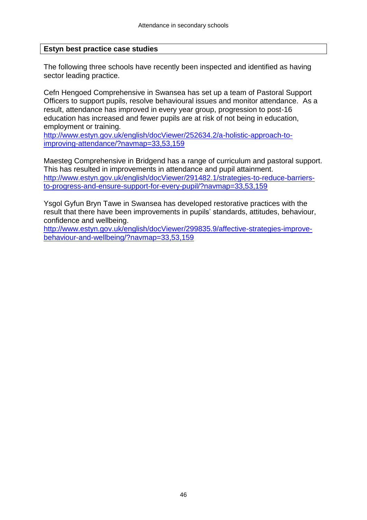#### **Estyn best practice case studies**

The following three schools have recently been inspected and identified as having sector leading practice.

Cefn Hengoed Comprehensive in Swansea has set up a team of Pastoral Support Officers to support pupils, resolve behavioural issues and monitor attendance. As a result, attendance has improved in every year group, progression to post-16 education has increased and fewer pupils are at risk of not being in education, employment or training.

[http://www.estyn.gov.uk/english/docViewer/252634.2/a-holistic-approach-to](http://www.estyn.gov.uk/english/docViewer/252634.2/a-holistic-approach-to-improving-attendance/?navmap=33,53,159)[improving-attendance/?navmap=33,53,159](http://www.estyn.gov.uk/english/docViewer/252634.2/a-holistic-approach-to-improving-attendance/?navmap=33,53,159)

Maesteg Comprehensive in Bridgend has a range of curriculum and pastoral support. This has resulted in improvements in attendance and pupil attainment. [http://www.estyn.gov.uk/english/docViewer/291482.1/strategies-to-reduce-barriers](http://www.estyn.gov.uk/english/docViewer/291482.1/strategies-to-reduce-barriers-to-progress-and-ensure-support-for-every-pupil/?navmap=33,53,159)[to-progress-and-ensure-support-for-every-pupil/?navmap=33,53,159](http://www.estyn.gov.uk/english/docViewer/291482.1/strategies-to-reduce-barriers-to-progress-and-ensure-support-for-every-pupil/?navmap=33,53,159)

Ysgol Gyfun Bryn Tawe in Swansea has developed restorative practices with the result that there have been improvements in pupils' standards, attitudes, behaviour, confidence and wellbeing.

[http://www.estyn.gov.uk/english/docViewer/299835.9/affective-strategies-improve](http://www.estyn.gov.uk/english/docViewer/299835.9/affective-strategies-improve-behaviour-and-wellbeing/?navmap=33,53,159)[behaviour-and-wellbeing/?navmap=33,53,159](http://www.estyn.gov.uk/english/docViewer/299835.9/affective-strategies-improve-behaviour-and-wellbeing/?navmap=33,53,159)